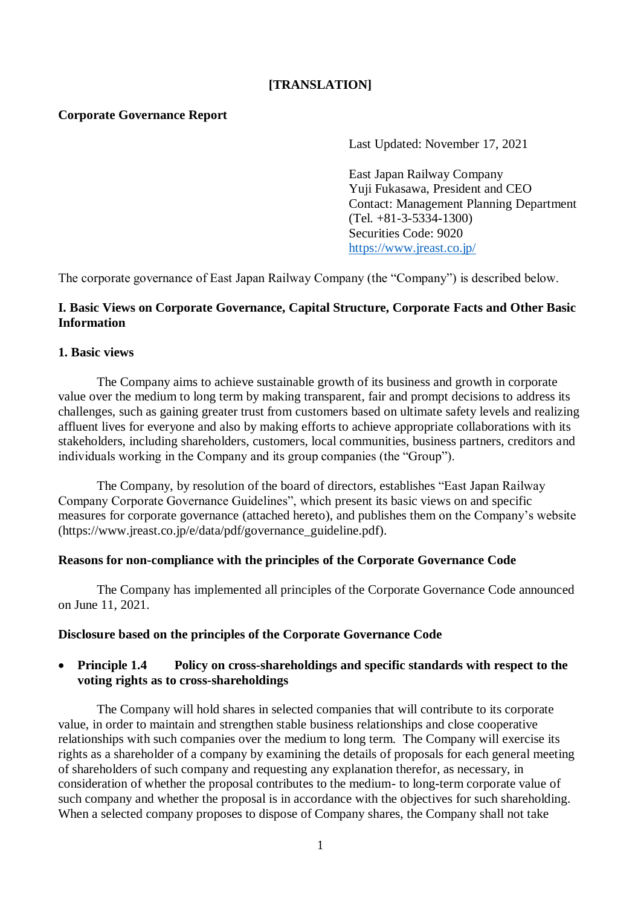## **[TRANSLATION]**

#### **Corporate Governance Report**

Last Updated: November 17, 2021

East Japan Railway Company Yuji Fukasawa, President and CEO Contact: Management Planning Department (Tel. +81-3-5334-1300) Securities Code: 9020 <https://www.jreast.co.jp/>

The corporate governance of East Japan Railway Company (the "Company") is described below.

## **I. Basic Views on Corporate Governance, Capital Structure, Corporate Facts and Other Basic Information**

#### **1. Basic views**

The Company aims to achieve sustainable growth of its business and growth in corporate value over the medium to long term by making transparent, fair and prompt decisions to address its challenges, such as gaining greater trust from customers based on ultimate safety levels and realizing affluent lives for everyone and also by making efforts to achieve appropriate collaborations with its stakeholders, including shareholders, customers, local communities, business partners, creditors and individuals working in the Company and its group companies (the "Group").

The Company, by resolution of the board of directors, establishes "East Japan Railway Company Corporate Governance Guidelines", which present its basic views on and specific measures for corporate governance (attached hereto), and publishes them on the Company's website (https://www.jreast.co.jp/e/data/pdf/governance\_guideline.pdf).

#### **Reasons for non-compliance with the principles of the Corporate Governance Code**

The Company has implemented all principles of the Corporate Governance Code announced on June 11, 2021.

#### **Disclosure based on the principles of the Corporate Governance Code**

## **Principle 1.4 Policy on cross-shareholdings and specific standards with respect to the voting rights as to cross-shareholdings**

The Company will hold shares in selected companies that will contribute to its corporate value, in order to maintain and strengthen stable business relationships and close cooperative relationships with such companies over the medium to long term. The Company will exercise its rights as a shareholder of a company by examining the details of proposals for each general meeting of shareholders of such company and requesting any explanation therefor, as necessary, in consideration of whether the proposal contributes to the medium- to long-term corporate value of such company and whether the proposal is in accordance with the objectives for such shareholding. When a selected company proposes to dispose of Company shares, the Company shall not take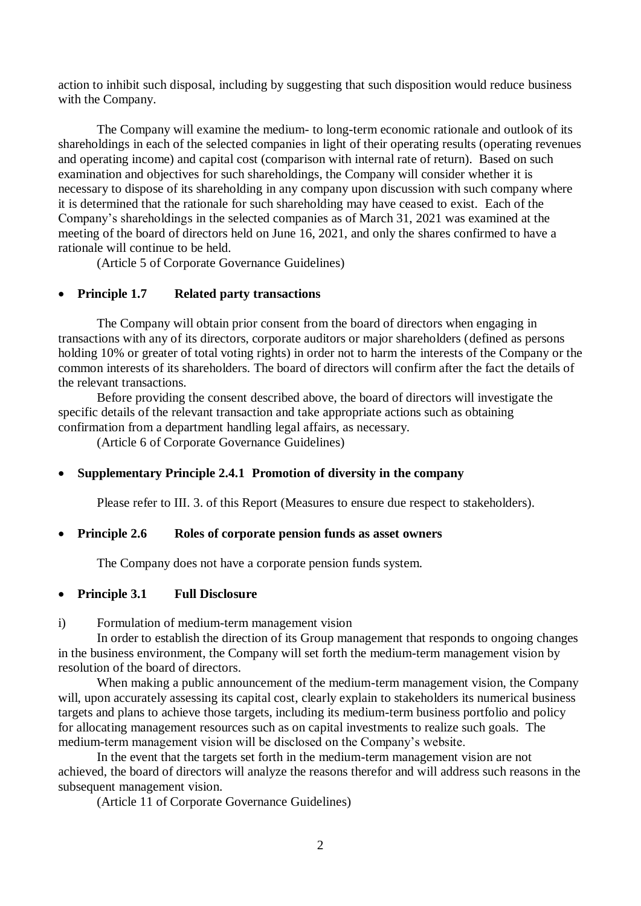action to inhibit such disposal, including by suggesting that such disposition would reduce business with the Company.

The Company will examine the medium- to long-term economic rationale and outlook of its shareholdings in each of the selected companies in light of their operating results (operating revenues and operating income) and capital cost (comparison with internal rate of return). Based on such examination and objectives for such shareholdings, the Company will consider whether it is necessary to dispose of its shareholding in any company upon discussion with such company where it is determined that the rationale for such shareholding may have ceased to exist. Each of the Company's shareholdings in the selected companies as of March 31, 2021 was examined at the meeting of the board of directors held on June 16, 2021, and only the shares confirmed to have a rationale will continue to be held.

(Article 5 of Corporate Governance Guidelines)

#### **Principle 1.7 Related party transactions**

The Company will obtain prior consent from the board of directors when engaging in transactions with any of its directors, corporate auditors or major shareholders (defined as persons holding 10% or greater of total voting rights) in order not to harm the interests of the Company or the common interests of its shareholders. The board of directors will confirm after the fact the details of the relevant transactions.

Before providing the consent described above, the board of directors will investigate the specific details of the relevant transaction and take appropriate actions such as obtaining confirmation from a department handling legal affairs, as necessary.

(Article 6 of Corporate Governance Guidelines)

#### **Supplementary Principle 2.4.1 Promotion of diversity in the company**

Please refer to III. 3. of this Report (Measures to ensure due respect to stakeholders).

#### **Principle 2.6 Roles of corporate pension funds as asset owners**

The Company does not have a corporate pension funds system.

#### **Principle 3.1 Full Disclosure**

#### i) Formulation of medium-term management vision

In order to establish the direction of its Group management that responds to ongoing changes in the business environment, the Company will set forth the medium-term management vision by resolution of the board of directors.

When making a public announcement of the medium-term management vision, the Company will, upon accurately assessing its capital cost, clearly explain to stakeholders its numerical business targets and plans to achieve those targets, including its medium-term business portfolio and policy for allocating management resources such as on capital investments to realize such goals. The medium-term management vision will be disclosed on the Company's website.

In the event that the targets set forth in the medium-term management vision are not achieved, the board of directors will analyze the reasons therefor and will address such reasons in the subsequent management vision.

(Article 11 of Corporate Governance Guidelines)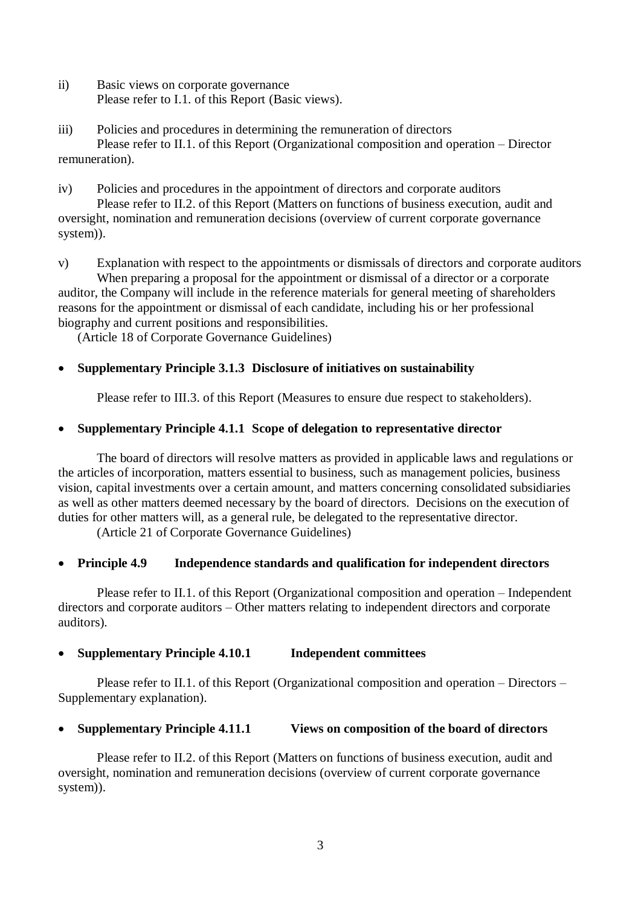- ii) Basic views on corporate governance Please refer to I.1. of this Report (Basic views).
- iii) Policies and procedures in determining the remuneration of directors Please refer to II.1. of this Report (Organizational composition and operation – Director remuneration).
- iv) Policies and procedures in the appointment of directors and corporate auditors Please refer to II.2. of this Report (Matters on functions of business execution, audit and oversight, nomination and remuneration decisions (overview of current corporate governance system)).

v) Explanation with respect to the appointments or dismissals of directors and corporate auditors When preparing a proposal for the appointment or dismissal of a director or a corporate auditor, the Company will include in the reference materials for general meeting of shareholders reasons for the appointment or dismissal of each candidate, including his or her professional biography and current positions and responsibilities.

(Article 18 of Corporate Governance Guidelines)

# **Supplementary Principle 3.1.3 Disclosure of initiatives on sustainability**

Please refer to III.3. of this Report (Measures to ensure due respect to stakeholders).

# **Supplementary Principle 4.1.1 Scope of delegation to representative director**

The board of directors will resolve matters as provided in applicable laws and regulations or the articles of incorporation, matters essential to business, such as management policies, business vision, capital investments over a certain amount, and matters concerning consolidated subsidiaries as well as other matters deemed necessary by the board of directors. Decisions on the execution of duties for other matters will, as a general rule, be delegated to the representative director.

(Article 21 of Corporate Governance Guidelines)

## **Principle 4.9 Independence standards and qualification for independent directors**

Please refer to II.1. of this Report (Organizational composition and operation – Independent directors and corporate auditors – Other matters relating to independent directors and corporate auditors).

## **Supplementary Principle 4.10.1 Independent committees**

Please refer to II.1. of this Report (Organizational composition and operation – Directors – Supplementary explanation).

## **Supplementary Principle 4.11.1 Views on composition of the board of directors**

Please refer to II.2. of this Report (Matters on functions of business execution, audit and oversight, nomination and remuneration decisions (overview of current corporate governance system)).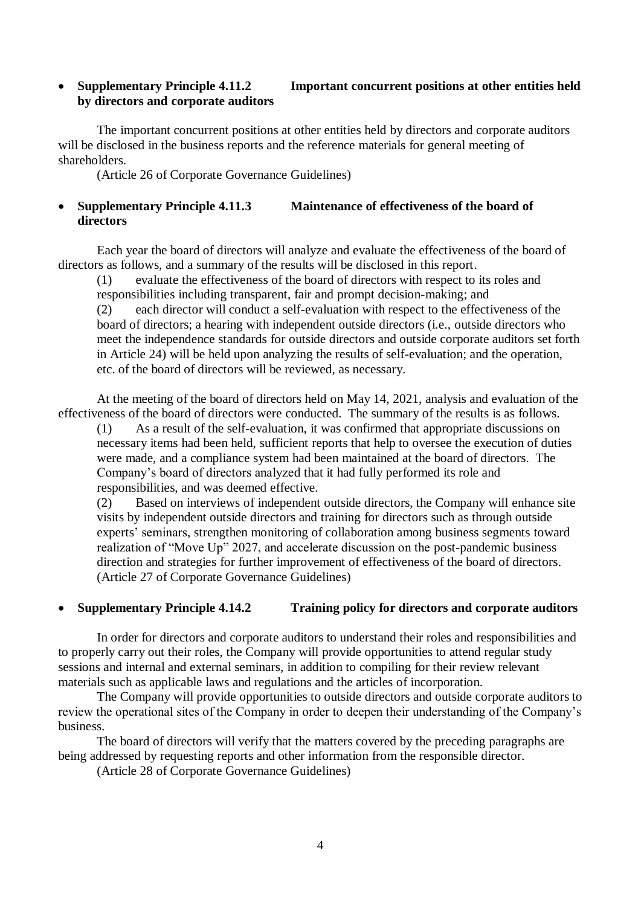## **Supplementary Principle 4.11.2 Important concurrent positions at other entities held by directors and corporate auditors**

The important concurrent positions at other entities held by directors and corporate auditors will be disclosed in the business reports and the reference materials for general meeting of shareholders.

(Article 26 of Corporate Governance Guidelines)

## **Supplementary Principle 4.11.3 Maintenance of effectiveness of the board of directors**

Each year the board of directors will analyze and evaluate the effectiveness of the board of directors as follows, and a summary of the results will be disclosed in this report.

(1) evaluate the effectiveness of the board of directors with respect to its roles and responsibilities including transparent, fair and prompt decision-making; and

(2) each director will conduct a self-evaluation with respect to the effectiveness of the board of directors; a hearing with independent outside directors (i.e., outside directors who meet the independence standards for outside directors and outside corporate auditors set forth in Article 24) will be held upon analyzing the results of self-evaluation; and the operation, etc. of the board of directors will be reviewed, as necessary.

At the meeting of the board of directors held on May 14, 2021, analysis and evaluation of the effectiveness of the board of directors were conducted. The summary of the results is as follows.

(1) As a result of the self-evaluation, it was confirmed that appropriate discussions on necessary items had been held, sufficient reports that help to oversee the execution of duties were made, and a compliance system had been maintained at the board of directors. The Company's board of directors analyzed that it had fully performed its role and responsibilities, and was deemed effective.

(2) Based on interviews of independent outside directors, the Company will enhance site visits by independent outside directors and training for directors such as through outside experts' seminars, strengthen monitoring of collaboration among business segments toward realization of "Move Up" 2027, and accelerate discussion on the post-pandemic business direction and strategies for further improvement of effectiveness of the board of directors. (Article 27 of Corporate Governance Guidelines)

## **Supplementary Principle 4.14.2 Training policy for directors and corporate auditors**

In order for directors and corporate auditors to understand their roles and responsibilities and to properly carry out their roles, the Company will provide opportunities to attend regular study sessions and internal and external seminars, in addition to compiling for their review relevant materials such as applicable laws and regulations and the articles of incorporation.

The Company will provide opportunities to outside directors and outside corporate auditors to review the operational sites of the Company in order to deepen their understanding of the Company's business.

The board of directors will verify that the matters covered by the preceding paragraphs are being addressed by requesting reports and other information from the responsible director.

(Article 28 of Corporate Governance Guidelines)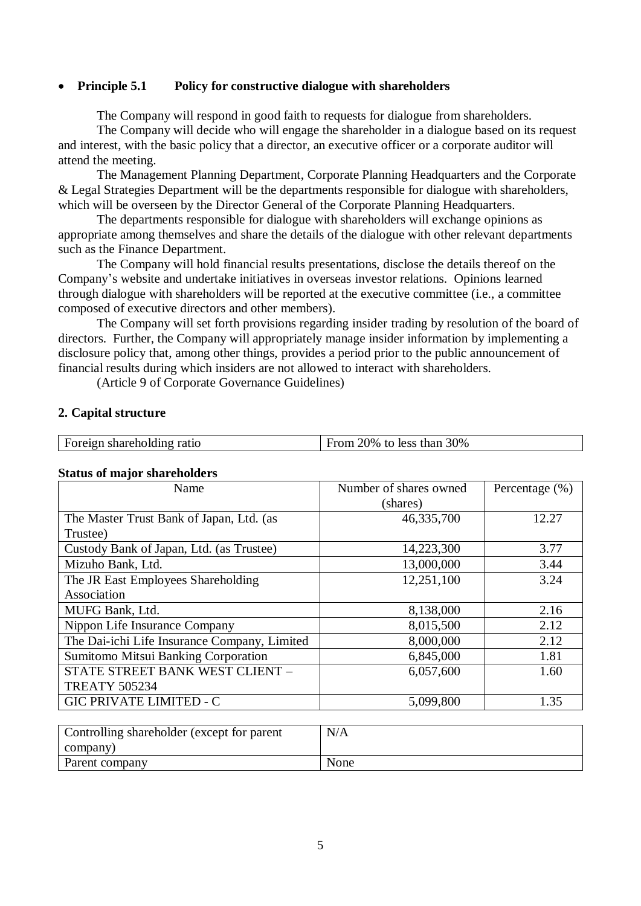#### **Principle 5.1 Policy for constructive dialogue with shareholders**

The Company will respond in good faith to requests for dialogue from shareholders.

The Company will decide who will engage the shareholder in a dialogue based on its request and interest, with the basic policy that a director, an executive officer or a corporate auditor will attend the meeting.

The Management Planning Department, Corporate Planning Headquarters and the Corporate & Legal Strategies Department will be the departments responsible for dialogue with shareholders, which will be overseen by the Director General of the Corporate Planning Headquarters.

The departments responsible for dialogue with shareholders will exchange opinions as appropriate among themselves and share the details of the dialogue with other relevant departments such as the Finance Department.

The Company will hold financial results presentations, disclose the details thereof on the Company's website and undertake initiatives in overseas investor relations. Opinions learned through dialogue with shareholders will be reported at the executive committee (i.e., a committee composed of executive directors and other members).

The Company will set forth provisions regarding insider trading by resolution of the board of directors. Further, the Company will appropriately manage insider information by implementing a disclosure policy that, among other things, provides a period prior to the public announcement of financial results during which insiders are not allowed to interact with shareholders.

(Article 9 of Corporate Governance Guidelines)

#### **2. Capital structure**

| Foreign shareholding ratio | From 20% to less than $30\%$ |
|----------------------------|------------------------------|
|                            |                              |

| Name                                         | Number of shares owned | Percentage $(\%)$ |
|----------------------------------------------|------------------------|-------------------|
|                                              | (shares)               |                   |
| The Master Trust Bank of Japan, Ltd. (as     | 46,335,700             | 12.27             |
| Trustee)                                     |                        |                   |
| Custody Bank of Japan, Ltd. (as Trustee)     | 14,223,300             | 3.77              |
| Mizuho Bank, Ltd.                            | 13,000,000             | 3.44              |
| The JR East Employees Shareholding           | 12,251,100             | 3.24              |
| Association                                  |                        |                   |
| MUFG Bank, Ltd.                              | 8,138,000              | 2.16              |
| Nippon Life Insurance Company                | 8,015,500              | 2.12              |
| The Dai-ichi Life Insurance Company, Limited | 8,000,000              | 2.12              |
| <b>Sumitomo Mitsui Banking Corporation</b>   | 6,845,000              | 1.81              |
| STATE STREET BANK WEST CLIENT -              | 6,057,600              | 1.60              |
| <b>TREATY 505234</b>                         |                        |                   |
| <b>GIC PRIVATE LIMITED - C</b>               | 5,099,800              | 1.35              |

#### **Status of major shareholders**

| Controlling shareholder (except for parent | N/A  |
|--------------------------------------------|------|
| company)                                   |      |
| Parent company                             | None |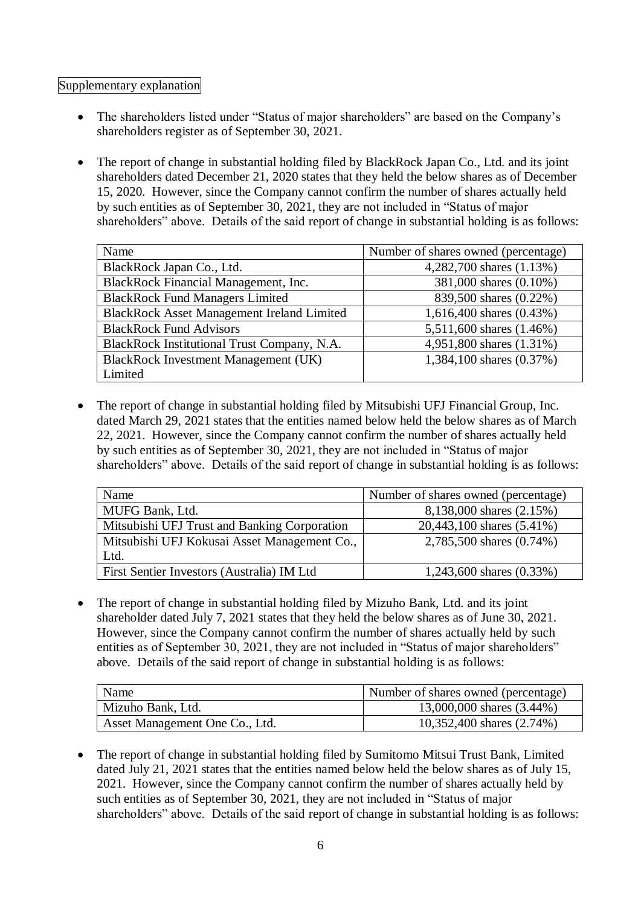## Supplementary explanation

- The shareholders listed under "Status of major shareholders" are based on the Company's shareholders register as of September 30, 2021.
- The report of change in substantial holding filed by BlackRock Japan Co., Ltd. and its joint shareholders dated December 21, 2020 states that they held the below shares as of December 15, 2020. However, since the Company cannot confirm the number of shares actually held by such entities as of September 30, 2021, they are not included in "Status of major shareholders" above. Details of the said report of change in substantial holding is as follows:

| Name                                              | Number of shares owned (percentage) |
|---------------------------------------------------|-------------------------------------|
| BlackRock Japan Co., Ltd.                         | 4,282,700 shares (1.13%)            |
| BlackRock Financial Management, Inc.              | 381,000 shares (0.10%)              |
| <b>BlackRock Fund Managers Limited</b>            | 839,500 shares (0.22%)              |
| <b>BlackRock Asset Management Ireland Limited</b> | 1,616,400 shares (0.43%)            |
| <b>BlackRock Fund Advisors</b>                    | 5,511,600 shares (1.46%)            |
| BlackRock Institutional Trust Company, N.A.       | 4,951,800 shares (1.31%)            |
| <b>BlackRock Investment Management (UK)</b>       | 1,384,100 shares (0.37%)            |
| Limited                                           |                                     |

 The report of change in substantial holding filed by Mitsubishi UFJ Financial Group, Inc. dated March 29, 2021 states that the entities named below held the below shares as of March 22, 2021. However, since the Company cannot confirm the number of shares actually held by such entities as of September 30, 2021, they are not included in "Status of major shareholders" above. Details of the said report of change in substantial holding is as follows:

| Name                                         | Number of shares owned (percentage) |  |  |  |  |  |
|----------------------------------------------|-------------------------------------|--|--|--|--|--|
| MUFG Bank, Ltd.                              | 8,138,000 shares (2.15%)            |  |  |  |  |  |
| Mitsubishi UFJ Trust and Banking Corporation | 20,443,100 shares (5.41%)           |  |  |  |  |  |
| Mitsubishi UFJ Kokusai Asset Management Co., | 2,785,500 shares (0.74%)            |  |  |  |  |  |
| Ltd.                                         |                                     |  |  |  |  |  |
| First Sentier Investors (Australia) IM Ltd   | 1,243,600 shares $(0.33\%)$         |  |  |  |  |  |

 The report of change in substantial holding filed by Mizuho Bank, Ltd. and its joint shareholder dated July 7, 2021 states that they held the below shares as of June 30, 2021. However, since the Company cannot confirm the number of shares actually held by such entities as of September 30, 2021, they are not included in "Status of major shareholders" above. Details of the said report of change in substantial holding is as follows:

| Name                           | Number of shares owned (percentage) |
|--------------------------------|-------------------------------------|
| Mizuho Bank, Ltd.              | 13,000,000 shares (3.44%)           |
| Asset Management One Co., Ltd. | 10,352,400 shares (2.74%)           |

• The report of change in substantial holding filed by Sumitomo Mitsui Trust Bank, Limited dated July 21, 2021 states that the entities named below held the below shares as of July 15, 2021. However, since the Company cannot confirm the number of shares actually held by such entities as of September 30, 2021, they are not included in "Status of major shareholders" above. Details of the said report of change in substantial holding is as follows: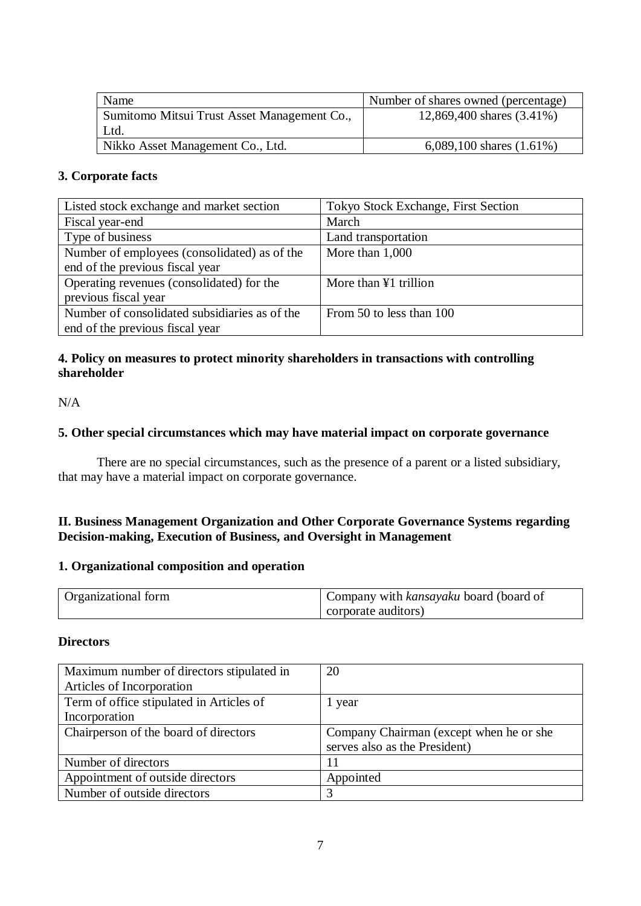| Name                                        | Number of shares owned (percentage) |
|---------------------------------------------|-------------------------------------|
| Sumitomo Mitsui Trust Asset Management Co., | 12,869,400 shares (3.41%)           |
| Ltd.                                        |                                     |
| Nikko Asset Management Co., Ltd.            | 6,089,100 shares $(1.61\%)$         |

#### **3. Corporate facts**

| Listed stock exchange and market section      | Tokyo Stock Exchange, First Section |
|-----------------------------------------------|-------------------------------------|
| Fiscal year-end                               | March                               |
| Type of business                              | Land transportation                 |
| Number of employees (consolidated) as of the  | More than 1,000                     |
| end of the previous fiscal year               |                                     |
| Operating revenues (consolidated) for the     | More than ¥1 trillion               |
| previous fiscal year                          |                                     |
| Number of consolidated subsidiaries as of the | From 50 to less than 100            |
| end of the previous fiscal year               |                                     |

## **4. Policy on measures to protect minority shareholders in transactions with controlling shareholder**

 $N/A$ 

## **5. Other special circumstances which may have material impact on corporate governance**

There are no special circumstances, such as the presence of a parent or a listed subsidiary, that may have a material impact on corporate governance.

## **II. Business Management Organization and Other Corporate Governance Systems regarding Decision-making, Execution of Business, and Oversight in Management**

#### **1. Organizational composition and operation**

| <b>Organizational form</b> | Company with <i>kansayaku</i> board (board of |
|----------------------------|-----------------------------------------------|
|                            | corporate auditors)                           |

## **Directors**

| Maximum number of directors stipulated in | 20                                      |
|-------------------------------------------|-----------------------------------------|
| Articles of Incorporation                 |                                         |
| Term of office stipulated in Articles of  | 1 year                                  |
| Incorporation                             |                                         |
| Chairperson of the board of directors     | Company Chairman (except when he or she |
|                                           | serves also as the President)           |
| Number of directors                       | 11                                      |
| Appointment of outside directors          | Appointed                               |
| Number of outside directors               | 3                                       |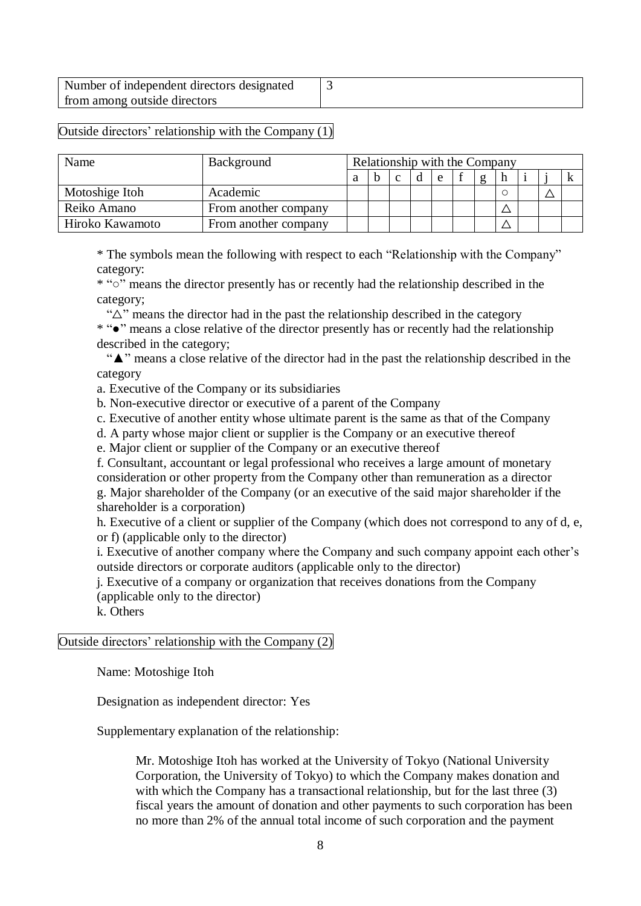| Number of independent directors designated |  |
|--------------------------------------------|--|
| from among outside directors               |  |

## Outside directors' relationship with the Company (1)

| Name            | Background           | Relationship with the Company |  |             |  |   |  |          |  |  |  |
|-----------------|----------------------|-------------------------------|--|-------------|--|---|--|----------|--|--|--|
|                 |                      | a                             |  | $\mathbf c$ |  | e |  | $\sigma$ |  |  |  |
| Motoshige Itoh  | Academic             |                               |  |             |  |   |  |          |  |  |  |
| Reiko Amano     | From another company |                               |  |             |  |   |  |          |  |  |  |
| Hiroko Kawamoto | From another company |                               |  |             |  |   |  |          |  |  |  |

\* The symbols mean the following with respect to each "Relationship with the Company" category:

\* "○" means the director presently has or recently had the relationship described in the category;

" $\Delta$ " means the director had in the past the relationship described in the category

\* "●" means a close relative of the director presently has or recently had the relationship described in the category;

 "▲" means a close relative of the director had in the past the relationship described in the category

a. Executive of the Company or its subsidiaries

b. Non-executive director or executive of a parent of the Company

c. Executive of another entity whose ultimate parent is the same as that of the Company

d. A party whose major client or supplier is the Company or an executive thereof

e. Major client or supplier of the Company or an executive thereof

f. Consultant, accountant or legal professional who receives a large amount of monetary consideration or other property from the Company other than remuneration as a director g. Major shareholder of the Company (or an executive of the said major shareholder if the

shareholder is a corporation)

h. Executive of a client or supplier of the Company (which does not correspond to any of d, e, or f) (applicable only to the director)

i. Executive of another company where the Company and such company appoint each other's outside directors or corporate auditors (applicable only to the director)

j. Executive of a company or organization that receives donations from the Company (applicable only to the director)

k. Others

#### Outside directors' relationship with the Company (2)

Name: Motoshige Itoh

Designation as independent director: Yes

Supplementary explanation of the relationship:

Mr. Motoshige Itoh has worked at the University of Tokyo (National University Corporation, the University of Tokyo) to which the Company makes donation and with which the Company has a transactional relationship, but for the last three (3) fiscal years the amount of donation and other payments to such corporation has been no more than 2% of the annual total income of such corporation and the payment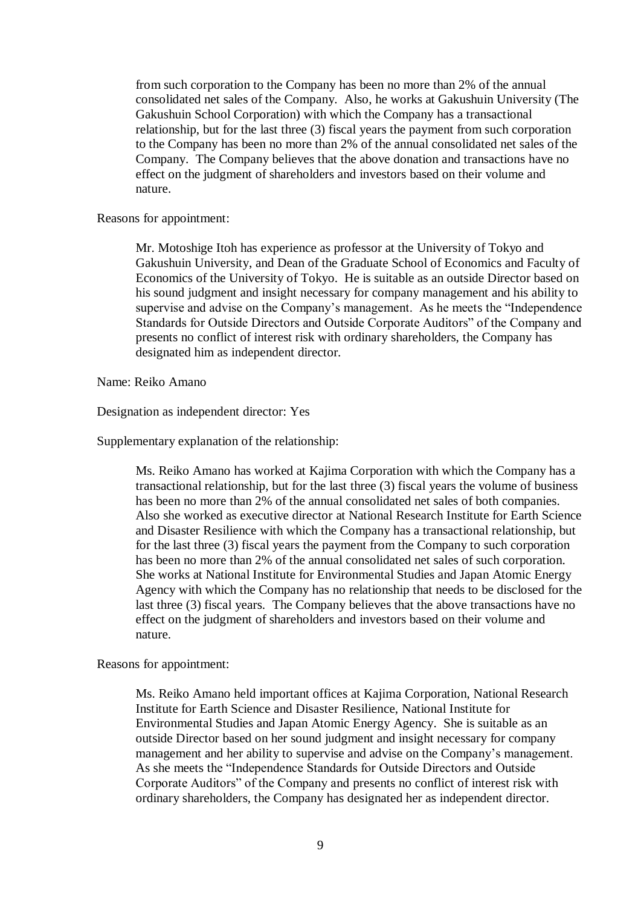from such corporation to the Company has been no more than 2% of the annual consolidated net sales of the Company. Also, he works at Gakushuin University (The Gakushuin School Corporation) with which the Company has a transactional relationship, but for the last three (3) fiscal years the payment from such corporation to the Company has been no more than 2% of the annual consolidated net sales of the Company. The Company believes that the above donation and transactions have no effect on the judgment of shareholders and investors based on their volume and nature.

Reasons for appointment:

Mr. Motoshige Itoh has experience as professor at the University of Tokyo and Gakushuin University, and Dean of the Graduate School of Economics and Faculty of Economics of the University of Tokyo. He is suitable as an outside Director based on his sound judgment and insight necessary for company management and his ability to supervise and advise on the Company's management. As he meets the "Independence Standards for Outside Directors and Outside Corporate Auditors" of the Company and presents no conflict of interest risk with ordinary shareholders, the Company has designated him as independent director.

Name: Reiko Amano

Designation as independent director: Yes

Supplementary explanation of the relationship:

Ms. Reiko Amano has worked at Kajima Corporation with which the Company has a transactional relationship, but for the last three (3) fiscal years the volume of business has been no more than 2% of the annual consolidated net sales of both companies. Also she worked as executive director at National Research Institute for Earth Science and Disaster Resilience with which the Company has a transactional relationship, but for the last three (3) fiscal years the payment from the Company to such corporation has been no more than 2% of the annual consolidated net sales of such corporation. She works at National Institute for Environmental Studies and Japan Atomic Energy Agency with which the Company has no relationship that needs to be disclosed for the last three (3) fiscal years. The Company believes that the above transactions have no effect on the judgment of shareholders and investors based on their volume and nature.

Reasons for appointment:

Ms. Reiko Amano held important offices at Kajima Corporation, National Research Institute for Earth Science and Disaster Resilience, National Institute for Environmental Studies and Japan Atomic Energy Agency. She is suitable as an outside Director based on her sound judgment and insight necessary for company management and her ability to supervise and advise on the Company's management. As she meets the "Independence Standards for Outside Directors and Outside Corporate Auditors" of the Company and presents no conflict of interest risk with ordinary shareholders, the Company has designated her as independent director.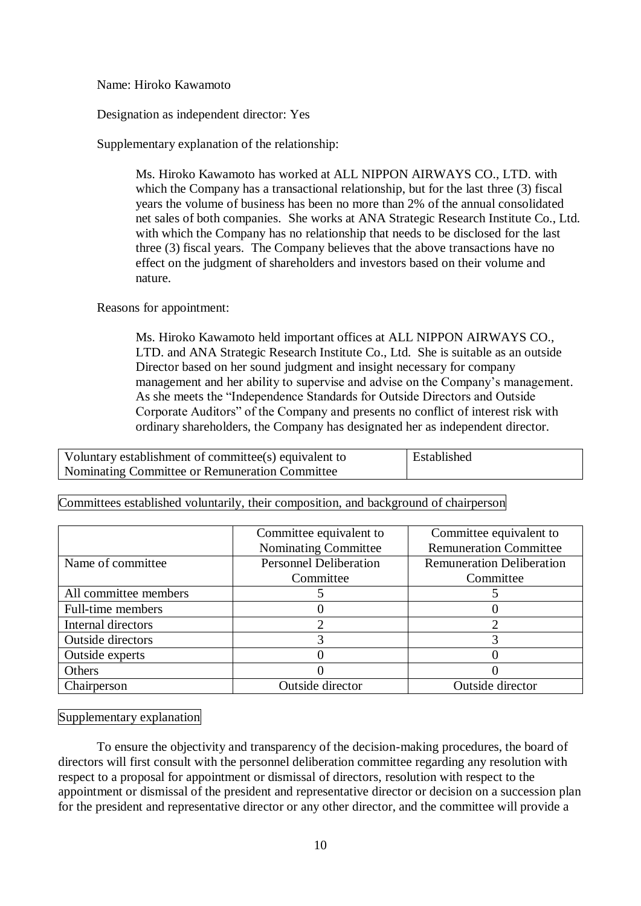Name: Hiroko Kawamoto

Designation as independent director: Yes

Supplementary explanation of the relationship:

Ms. Hiroko Kawamoto has worked at ALL NIPPON AIRWAYS CO., LTD. with which the Company has a transactional relationship, but for the last three (3) fiscal years the volume of business has been no more than 2% of the annual consolidated net sales of both companies. She works at ANA Strategic Research Institute Co., Ltd. with which the Company has no relationship that needs to be disclosed for the last three (3) fiscal years. The Company believes that the above transactions have no effect on the judgment of shareholders and investors based on their volume and nature.

Reasons for appointment:

Ms. Hiroko Kawamoto held important offices at ALL NIPPON AIRWAYS CO., LTD. and ANA Strategic Research Institute Co., Ltd. She is suitable as an outside Director based on her sound judgment and insight necessary for company management and her ability to supervise and advise on the Company's management. As she meets the "Independence Standards for Outside Directors and Outside Corporate Auditors" of the Company and presents no conflict of interest risk with ordinary shareholders, the Company has designated her as independent director.

Voluntary establishment of committee(s) equivalent to Nominating Committee or Remuneration Committee Established

|                       | Committee equivalent to       | Committee equivalent to          |  |  |
|-----------------------|-------------------------------|----------------------------------|--|--|
|                       | Nominating Committee          | <b>Remuneration Committee</b>    |  |  |
| Name of committee     | <b>Personnel Deliberation</b> | <b>Remuneration Deliberation</b> |  |  |
|                       | Committee                     | Committee                        |  |  |
| All committee members |                               |                                  |  |  |
| Full-time members     |                               |                                  |  |  |
| Internal directors    |                               |                                  |  |  |
| Outside directors     |                               |                                  |  |  |
| Outside experts       |                               |                                  |  |  |
| Others                |                               |                                  |  |  |
| Chairperson           | Outside director              | Outside director                 |  |  |

Committees established voluntarily, their composition, and background of chairperson

Supplementary explanation

To ensure the objectivity and transparency of the decision-making procedures, the board of directors will first consult with the personnel deliberation committee regarding any resolution with respect to a proposal for appointment or dismissal of directors, resolution with respect to the appointment or dismissal of the president and representative director or decision on a succession plan for the president and representative director or any other director, and the committee will provide a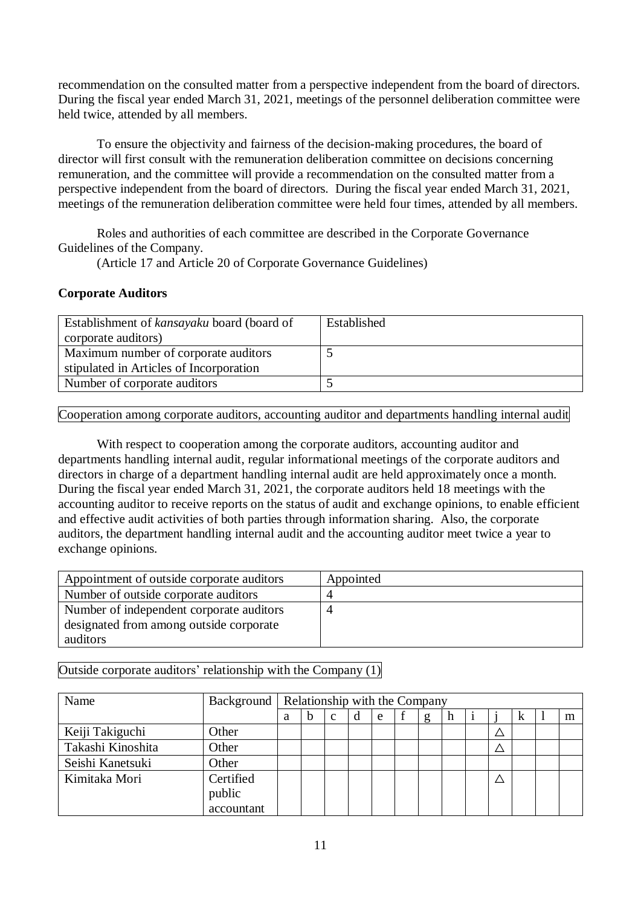recommendation on the consulted matter from a perspective independent from the board of directors. During the fiscal year ended March 31, 2021, meetings of the personnel deliberation committee were held twice, attended by all members.

To ensure the objectivity and fairness of the decision-making procedures, the board of director will first consult with the remuneration deliberation committee on decisions concerning remuneration, and the committee will provide a recommendation on the consulted matter from a perspective independent from the board of directors. During the fiscal year ended March 31, 2021, meetings of the remuneration deliberation committee were held four times, attended by all members.

Roles and authorities of each committee are described in the Corporate Governance Guidelines of the Company.

(Article 17 and Article 20 of Corporate Governance Guidelines)

## **Corporate Auditors**

| Establishment of kansayaku board (board of | Established |
|--------------------------------------------|-------------|
| corporate auditors)                        |             |
| Maximum number of corporate auditors       |             |
| stipulated in Articles of Incorporation    |             |
| Number of corporate auditors               |             |

Cooperation among corporate auditors, accounting auditor and departments handling internal audit

With respect to cooperation among the corporate auditors, accounting auditor and departments handling internal audit, regular informational meetings of the corporate auditors and directors in charge of a department handling internal audit are held approximately once a month. During the fiscal year ended March 31, 2021, the corporate auditors held 18 meetings with the accounting auditor to receive reports on the status of audit and exchange opinions, to enable efficient and effective audit activities of both parties through information sharing. Also, the corporate auditors, the department handling internal audit and the accounting auditor meet twice a year to exchange opinions.

| Appointment of outside corporate auditors | Appointed |
|-------------------------------------------|-----------|
| Number of outside corporate auditors      | 4         |
| Number of independent corporate auditors  | 4         |
| designated from among outside corporate   |           |
| auditors                                  |           |

Outside corporate auditors' relationship with the Company (1)

| Name              |                                   |   | Background   Relationship with the Company |              |   |   |   |   |  |   |   |
|-------------------|-----------------------------------|---|--------------------------------------------|--------------|---|---|---|---|--|---|---|
|                   |                                   | a | h                                          | $\mathbf{C}$ | d | e | g | h |  | k | m |
| Keiji Takiguchi   | Other                             |   |                                            |              |   |   |   |   |  |   |   |
| Takashi Kinoshita | Other                             |   |                                            |              |   |   |   |   |  |   |   |
| Seishi Kanetsuki  | Other                             |   |                                            |              |   |   |   |   |  |   |   |
| Kimitaka Mori     | Certified<br>public<br>accountant |   |                                            |              |   |   |   |   |  |   |   |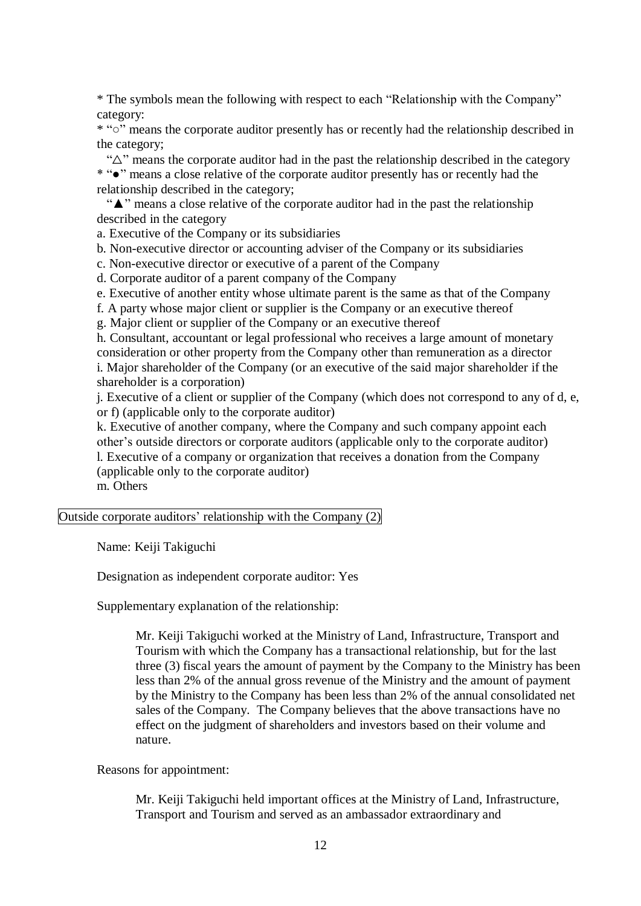\* The symbols mean the following with respect to each "Relationship with the Company" category:

\* "○" means the corporate auditor presently has or recently had the relationship described in the category;

"△" means the corporate auditor had in the past the relationship described in the category

\* "●" means a close relative of the corporate auditor presently has or recently had the relationship described in the category;

 "▲" means a close relative of the corporate auditor had in the past the relationship described in the category

a. Executive of the Company or its subsidiaries

b. Non-executive director or accounting adviser of the Company or its subsidiaries

c. Non-executive director or executive of a parent of the Company

d. Corporate auditor of a parent company of the Company

e. Executive of another entity whose ultimate parent is the same as that of the Company

f. A party whose major client or supplier is the Company or an executive thereof

g. Major client or supplier of the Company or an executive thereof

h. Consultant, accountant or legal professional who receives a large amount of monetary consideration or other property from the Company other than remuneration as a director i. Major shareholder of the Company (or an executive of the said major shareholder if the shareholder is a corporation)

j. Executive of a client or supplier of the Company (which does not correspond to any of d, e, or f) (applicable only to the corporate auditor)

k. Executive of another company, where the Company and such company appoint each other's outside directors or corporate auditors (applicable only to the corporate auditor) l. Executive of a company or organization that receives a donation from the Company (applicable only to the corporate auditor) m. Others

Outside corporate auditors' relationship with the Company (2)

Name: Keiji Takiguchi

Designation as independent corporate auditor: Yes

Supplementary explanation of the relationship:

Mr. Keiji Takiguchi worked at the Ministry of Land, Infrastructure, Transport and Tourism with which the Company has a transactional relationship, but for the last three (3) fiscal years the amount of payment by the Company to the Ministry has been less than 2% of the annual gross revenue of the Ministry and the amount of payment by the Ministry to the Company has been less than 2% of the annual consolidated net sales of the Company. The Company believes that the above transactions have no effect on the judgment of shareholders and investors based on their volume and nature.

Reasons for appointment:

Mr. Keiji Takiguchi held important offices at the Ministry of Land, Infrastructure, Transport and Tourism and served as an ambassador extraordinary and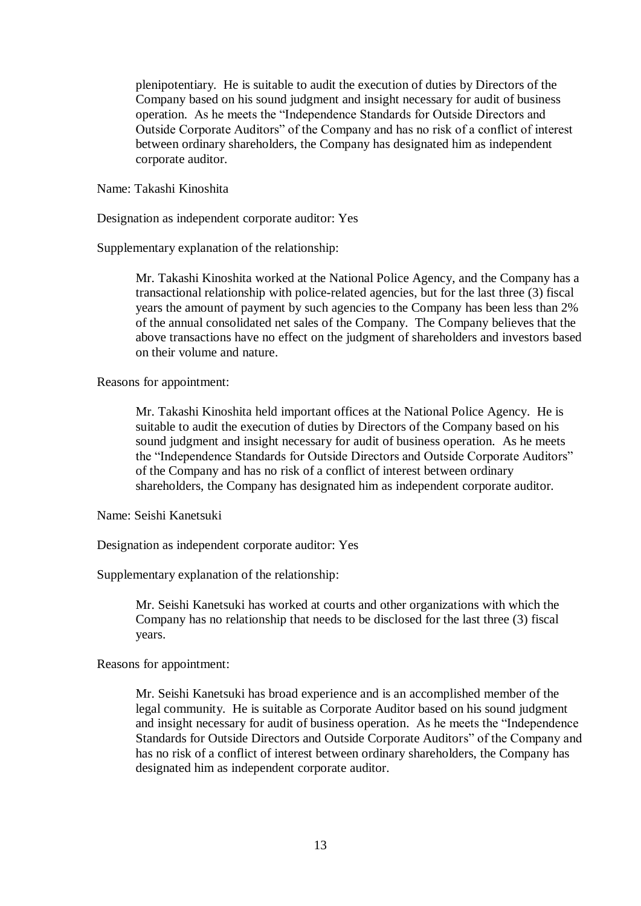plenipotentiary. He is suitable to audit the execution of duties by Directors of the Company based on his sound judgment and insight necessary for audit of business operation. As he meets the "Independence Standards for Outside Directors and Outside Corporate Auditors" of the Company and has no risk of a conflict of interest between ordinary shareholders, the Company has designated him as independent corporate auditor.

Name: Takashi Kinoshita

Designation as independent corporate auditor: Yes

Supplementary explanation of the relationship:

Mr. Takashi Kinoshita worked at the National Police Agency, and the Company has a transactional relationship with police-related agencies, but for the last three (3) fiscal years the amount of payment by such agencies to the Company has been less than 2% of the annual consolidated net sales of the Company. The Company believes that the above transactions have no effect on the judgment of shareholders and investors based on their volume and nature.

Reasons for appointment:

Mr. Takashi Kinoshita held important offices at the National Police Agency. He is suitable to audit the execution of duties by Directors of the Company based on his sound judgment and insight necessary for audit of business operation. As he meets the "Independence Standards for Outside Directors and Outside Corporate Auditors" of the Company and has no risk of a conflict of interest between ordinary shareholders, the Company has designated him as independent corporate auditor.

Name: Seishi Kanetsuki

Designation as independent corporate auditor: Yes

Supplementary explanation of the relationship:

Mr. Seishi Kanetsuki has worked at courts and other organizations with which the Company has no relationship that needs to be disclosed for the last three (3) fiscal years.

Reasons for appointment:

Mr. Seishi Kanetsuki has broad experience and is an accomplished member of the legal community. He is suitable as Corporate Auditor based on his sound judgment and insight necessary for audit of business operation. As he meets the "Independence Standards for Outside Directors and Outside Corporate Auditors" of the Company and has no risk of a conflict of interest between ordinary shareholders, the Company has designated him as independent corporate auditor.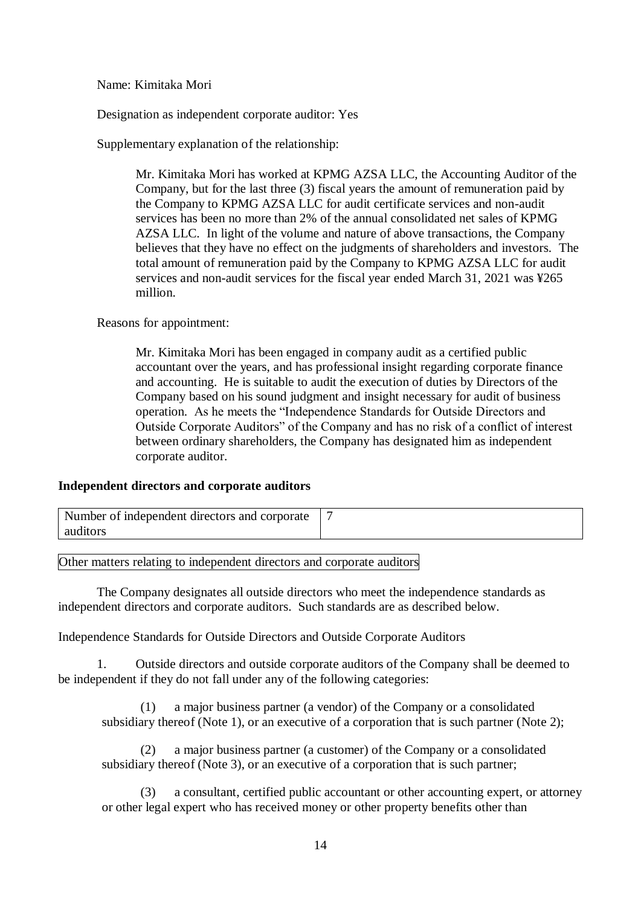Name: Kimitaka Mori

Designation as independent corporate auditor: Yes

Supplementary explanation of the relationship:

Mr. Kimitaka Mori has worked at KPMG AZSA LLC, the Accounting Auditor of the Company, but for the last three (3) fiscal years the amount of remuneration paid by the Company to KPMG AZSA LLC for audit certificate services and non-audit services has been no more than 2% of the annual consolidated net sales of KPMG AZSA LLC. In light of the volume and nature of above transactions, the Company believes that they have no effect on the judgments of shareholders and investors. The total amount of remuneration paid by the Company to KPMG AZSA LLC for audit services and non-audit services for the fiscal year ended March 31, 2021 was ¥265 million.

Reasons for appointment:

Mr. Kimitaka Mori has been engaged in company audit as a certified public accountant over the years, and has professional insight regarding corporate finance and accounting. He is suitable to audit the execution of duties by Directors of the Company based on his sound judgment and insight necessary for audit of business operation. As he meets the "Independence Standards for Outside Directors and Outside Corporate Auditors" of the Company and has no risk of a conflict of interest between ordinary shareholders, the Company has designated him as independent corporate auditor.

#### **Independent directors and corporate auditors**

| Number of independent directors and corporate |  |
|-----------------------------------------------|--|
| auditors                                      |  |

Other matters relating to independent directors and corporate auditors

The Company designates all outside directors who meet the independence standards as independent directors and corporate auditors. Such standards are as described below.

Independence Standards for Outside Directors and Outside Corporate Auditors

1. Outside directors and outside corporate auditors of the Company shall be deemed to be independent if they do not fall under any of the following categories:

(1) a major business partner (a vendor) of the Company or a consolidated subsidiary thereof (Note 1), or an executive of a corporation that is such partner (Note 2);

(2) a major business partner (a customer) of the Company or a consolidated subsidiary thereof (Note 3), or an executive of a corporation that is such partner;

(3) a consultant, certified public accountant or other accounting expert, or attorney or other legal expert who has received money or other property benefits other than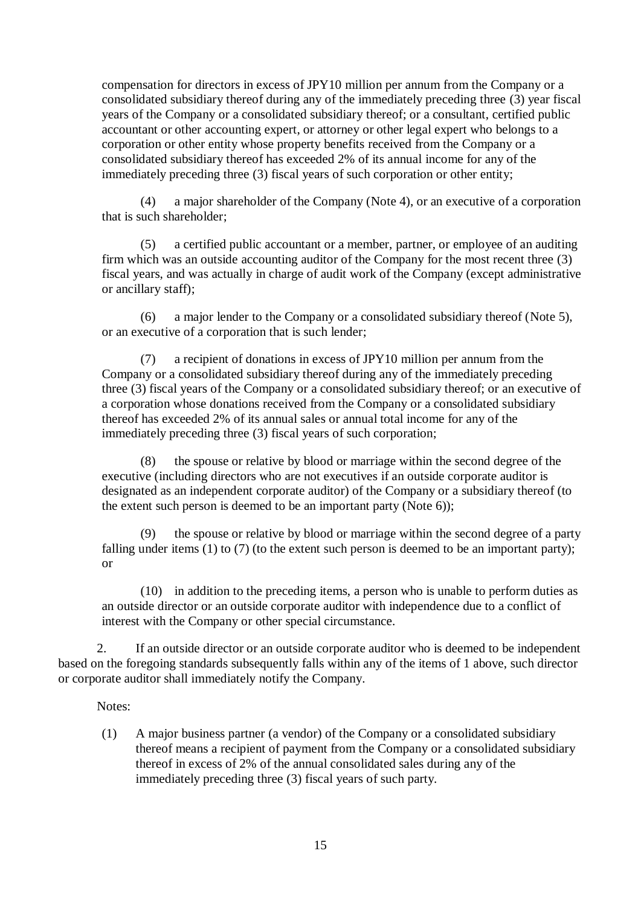compensation for directors in excess of JPY10 million per annum from the Company or a consolidated subsidiary thereof during any of the immediately preceding three (3) year fiscal years of the Company or a consolidated subsidiary thereof; or a consultant, certified public accountant or other accounting expert, or attorney or other legal expert who belongs to a corporation or other entity whose property benefits received from the Company or a consolidated subsidiary thereof has exceeded 2% of its annual income for any of the immediately preceding three (3) fiscal years of such corporation or other entity;

(4) a major shareholder of the Company (Note 4), or an executive of a corporation that is such shareholder;

(5) a certified public accountant or a member, partner, or employee of an auditing firm which was an outside accounting auditor of the Company for the most recent three (3) fiscal years, and was actually in charge of audit work of the Company (except administrative or ancillary staff);

(6) a major lender to the Company or a consolidated subsidiary thereof (Note 5), or an executive of a corporation that is such lender;

(7) a recipient of donations in excess of JPY10 million per annum from the Company or a consolidated subsidiary thereof during any of the immediately preceding three (3) fiscal years of the Company or a consolidated subsidiary thereof; or an executive of a corporation whose donations received from the Company or a consolidated subsidiary thereof has exceeded 2% of its annual sales or annual total income for any of the immediately preceding three (3) fiscal years of such corporation;

(8) the spouse or relative by blood or marriage within the second degree of the executive (including directors who are not executives if an outside corporate auditor is designated as an independent corporate auditor) of the Company or a subsidiary thereof (to the extent such person is deemed to be an important party (Note 6));

(9) the spouse or relative by blood or marriage within the second degree of a party falling under items (1) to (7) (to the extent such person is deemed to be an important party); or

(10) in addition to the preceding items, a person who is unable to perform duties as an outside director or an outside corporate auditor with independence due to a conflict of interest with the Company or other special circumstance.

2. If an outside director or an outside corporate auditor who is deemed to be independent based on the foregoing standards subsequently falls within any of the items of 1 above, such director or corporate auditor shall immediately notify the Company.

Notes:

(1) A major business partner (a vendor) of the Company or a consolidated subsidiary thereof means a recipient of payment from the Company or a consolidated subsidiary thereof in excess of 2% of the annual consolidated sales during any of the immediately preceding three (3) fiscal years of such party.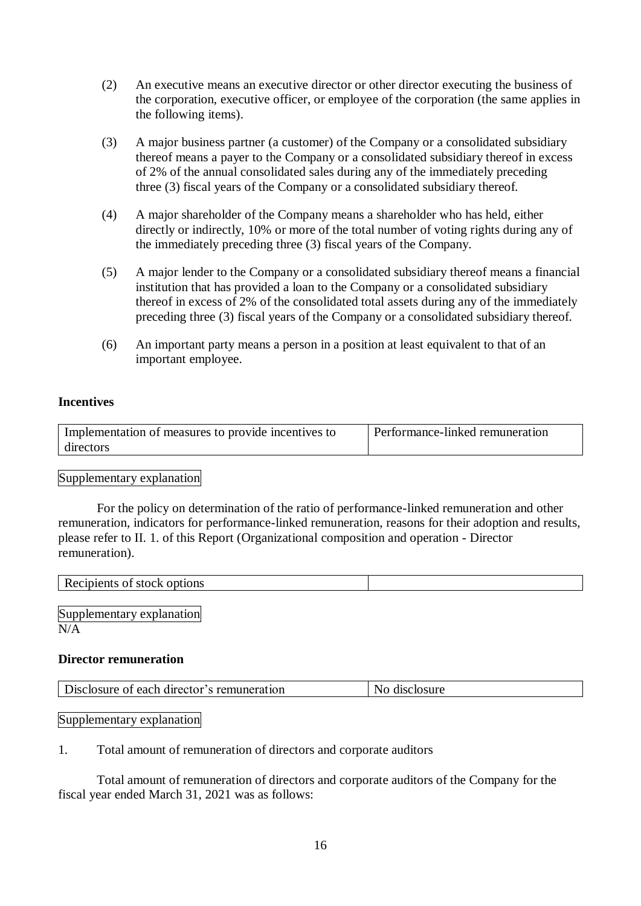- (2) An executive means an executive director or other director executing the business of the corporation, executive officer, or employee of the corporation (the same applies in the following items).
- (3) A major business partner (a customer) of the Company or a consolidated subsidiary thereof means a payer to the Company or a consolidated subsidiary thereof in excess of 2% of the annual consolidated sales during any of the immediately preceding three (3) fiscal years of the Company or a consolidated subsidiary thereof.
- (4) A major shareholder of the Company means a shareholder who has held, either directly or indirectly, 10% or more of the total number of voting rights during any of the immediately preceding three (3) fiscal years of the Company.
- (5) A major lender to the Company or a consolidated subsidiary thereof means a financial institution that has provided a loan to the Company or a consolidated subsidiary thereof in excess of 2% of the consolidated total assets during any of the immediately preceding three (3) fiscal years of the Company or a consolidated subsidiary thereof.
- (6) An important party means a person in a position at least equivalent to that of an important employee.

#### **Incentives**

| Implementation of measures to provide incentives to | Performance-linked remuneration |
|-----------------------------------------------------|---------------------------------|
| directors                                           |                                 |

#### Supplementary explanation

For the policy on determination of the ratio of performance-linked remuneration and other remuneration, indicators for performance-linked remuneration, reasons for their adoption and results, please refer to II. 1. of this Report (Organizational composition and operation - Director remuneration).

| Recipients of stock options |  |
|-----------------------------|--|
|                             |  |
| $\sim$                      |  |

Supplementary explanation  $N/A$ 

#### **Director remuneration**

| Disclosure of each director's remuneration | disclosure |
|--------------------------------------------|------------|
|--------------------------------------------|------------|

Supplementary explanation

1. Total amount of remuneration of directors and corporate auditors

Total amount of remuneration of directors and corporate auditors of the Company for the fiscal year ended March 31, 2021 was as follows: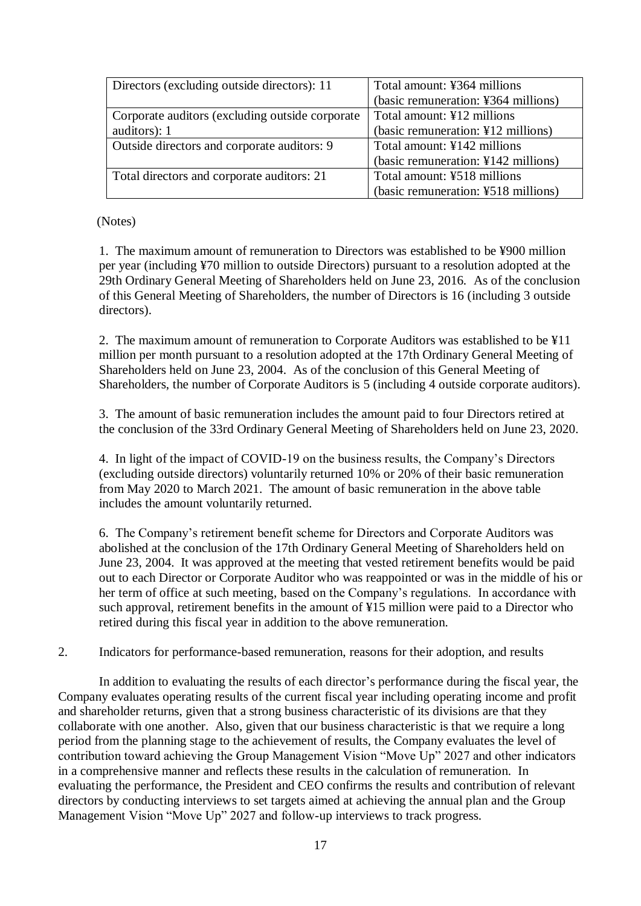| Directors (excluding outside directors): 11      | Total amount: ¥364 millions         |
|--------------------------------------------------|-------------------------------------|
|                                                  | (basic remuneration: ¥364 millions) |
| Corporate auditors (excluding outside corporate) | Total amount: ¥12 millions          |
| auditors): 1                                     | (basic remuneration: ¥12 millions)  |
| Outside directors and corporate auditors: 9      | Total amount: ¥142 millions         |
|                                                  | (basic remuneration: ¥142 millions) |
| Total directors and corporate auditors: 21       | Total amount: ¥518 millions         |
|                                                  | (basic remuneration: ¥518 millions) |

(Notes)

1. The maximum amount of remuneration to Directors was established to be ¥900 million per year (including ¥70 million to outside Directors) pursuant to a resolution adopted at the 29th Ordinary General Meeting of Shareholders held on June 23, 2016. As of the conclusion of this General Meeting of Shareholders, the number of Directors is 16 (including 3 outside directors).

2. The maximum amount of remuneration to Corporate Auditors was established to be ¥11 million per month pursuant to a resolution adopted at the 17th Ordinary General Meeting of Shareholders held on June 23, 2004. As of the conclusion of this General Meeting of Shareholders, the number of Corporate Auditors is 5 (including 4 outside corporate auditors).

3. The amount of basic remuneration includes the amount paid to four Directors retired at the conclusion of the 33rd Ordinary General Meeting of Shareholders held on June 23, 2020.

4. In light of the impact of COVID-19 on the business results, the Company's Directors (excluding outside directors) voluntarily returned 10% or 20% of their basic remuneration from May 2020 to March 2021. The amount of basic remuneration in the above table includes the amount voluntarily returned.

6. The Company's retirement benefit scheme for Directors and Corporate Auditors was abolished at the conclusion of the 17th Ordinary General Meeting of Shareholders held on June 23, 2004. It was approved at the meeting that vested retirement benefits would be paid out to each Director or Corporate Auditor who was reappointed or was in the middle of his or her term of office at such meeting, based on the Company's regulations. In accordance with such approval, retirement benefits in the amount of ¥15 million were paid to a Director who retired during this fiscal year in addition to the above remuneration.

2. Indicators for performance-based remuneration, reasons for their adoption, and results

In addition to evaluating the results of each director's performance during the fiscal year, the Company evaluates operating results of the current fiscal year including operating income and profit and shareholder returns, given that a strong business characteristic of its divisions are that they collaborate with one another. Also, given that our business characteristic is that we require a long period from the planning stage to the achievement of results, the Company evaluates the level of contribution toward achieving the Group Management Vision "Move Up" 2027 and other indicators in a comprehensive manner and reflects these results in the calculation of remuneration. In evaluating the performance, the President and CEO confirms the results and contribution of relevant directors by conducting interviews to set targets aimed at achieving the annual plan and the Group Management Vision "Move Up" 2027 and follow-up interviews to track progress.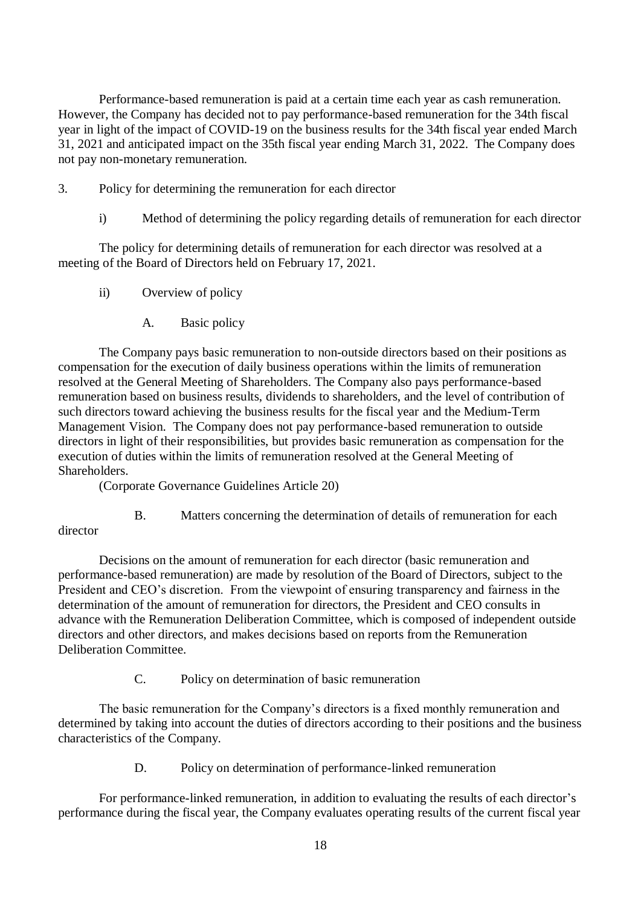Performance-based remuneration is paid at a certain time each year as cash remuneration. However, the Company has decided not to pay performance-based remuneration for the 34th fiscal year in light of the impact of COVID-19 on the business results for the 34th fiscal year ended March 31, 2021 and anticipated impact on the 35th fiscal year ending March 31, 2022. The Company does not pay non-monetary remuneration.

- 3. Policy for determining the remuneration for each director
	- i) Method of determining the policy regarding details of remuneration for each director

The policy for determining details of remuneration for each director was resolved at a meeting of the Board of Directors held on February 17, 2021.

- ii) Overview of policy
	- A. Basic policy

The Company pays basic remuneration to non-outside directors based on their positions as compensation for the execution of daily business operations within the limits of remuneration resolved at the General Meeting of Shareholders. The Company also pays performance-based remuneration based on business results, dividends to shareholders, and the level of contribution of such directors toward achieving the business results for the fiscal year and the Medium-Term Management Vision. The Company does not pay performance-based remuneration to outside directors in light of their responsibilities, but provides basic remuneration as compensation for the execution of duties within the limits of remuneration resolved at the General Meeting of Shareholders.

(Corporate Governance Guidelines Article 20)

B. Matters concerning the determination of details of remuneration for each director

Decisions on the amount of remuneration for each director (basic remuneration and performance-based remuneration) are made by resolution of the Board of Directors, subject to the President and CEO's discretion. From the viewpoint of ensuring transparency and fairness in the determination of the amount of remuneration for directors, the President and CEO consults in advance with the Remuneration Deliberation Committee, which is composed of independent outside directors and other directors, and makes decisions based on reports from the Remuneration Deliberation Committee.

C. Policy on determination of basic remuneration

The basic remuneration for the Company's directors is a fixed monthly remuneration and determined by taking into account the duties of directors according to their positions and the business characteristics of the Company.

D. Policy on determination of performance-linked remuneration

For performance-linked remuneration, in addition to evaluating the results of each director's performance during the fiscal year, the Company evaluates operating results of the current fiscal year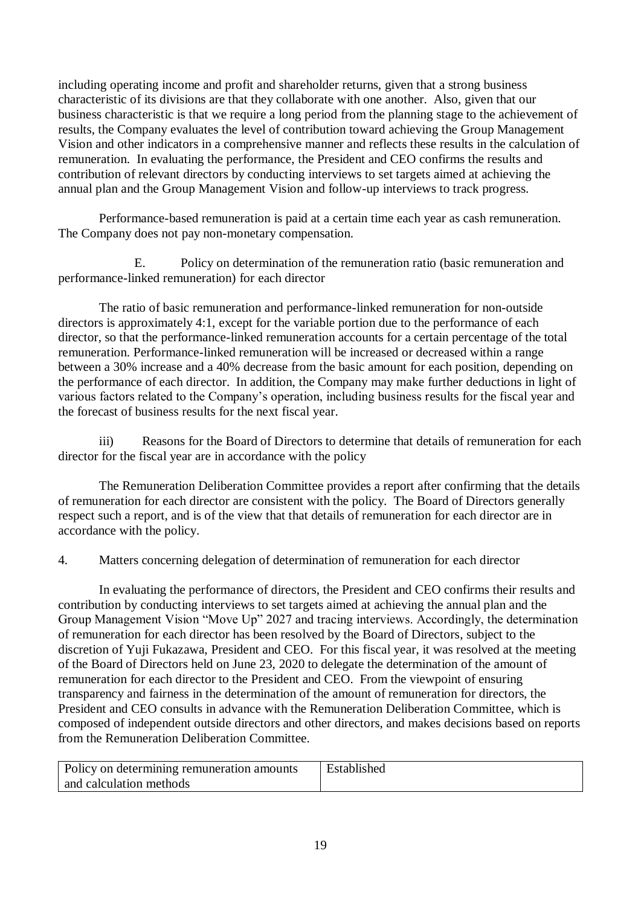including operating income and profit and shareholder returns, given that a strong business characteristic of its divisions are that they collaborate with one another. Also, given that our business characteristic is that we require a long period from the planning stage to the achievement of results, the Company evaluates the level of contribution toward achieving the Group Management Vision and other indicators in a comprehensive manner and reflects these results in the calculation of remuneration. In evaluating the performance, the President and CEO confirms the results and contribution of relevant directors by conducting interviews to set targets aimed at achieving the annual plan and the Group Management Vision and follow-up interviews to track progress.

Performance-based remuneration is paid at a certain time each year as cash remuneration. The Company does not pay non-monetary compensation.

E. Policy on determination of the remuneration ratio (basic remuneration and performance-linked remuneration) for each director

The ratio of basic remuneration and performance-linked remuneration for non-outside directors is approximately 4:1, except for the variable portion due to the performance of each director, so that the performance-linked remuneration accounts for a certain percentage of the total remuneration. Performance-linked remuneration will be increased or decreased within a range between a 30% increase and a 40% decrease from the basic amount for each position, depending on the performance of each director. In addition, the Company may make further deductions in light of various factors related to the Company's operation, including business results for the fiscal year and the forecast of business results for the next fiscal year.

iii) Reasons for the Board of Directors to determine that details of remuneration for each director for the fiscal year are in accordance with the policy

The Remuneration Deliberation Committee provides a report after confirming that the details of remuneration for each director are consistent with the policy. The Board of Directors generally respect such a report, and is of the view that that details of remuneration for each director are in accordance with the policy.

4. Matters concerning delegation of determination of remuneration for each director

In evaluating the performance of directors, the President and CEO confirms their results and contribution by conducting interviews to set targets aimed at achieving the annual plan and the Group Management Vision "Move Up" 2027 and tracing interviews. Accordingly, the determination of remuneration for each director has been resolved by the Board of Directors, subject to the discretion of Yuji Fukazawa, President and CEO. For this fiscal year, it was resolved at the meeting of the Board of Directors held on June 23, 2020 to delegate the determination of the amount of remuneration for each director to the President and CEO. From the viewpoint of ensuring transparency and fairness in the determination of the amount of remuneration for directors, the President and CEO consults in advance with the Remuneration Deliberation Committee, which is composed of independent outside directors and other directors, and makes decisions based on reports from the Remuneration Deliberation Committee.

| Policy on determining remuneration amounts | Established |
|--------------------------------------------|-------------|
| and calculation methods                    |             |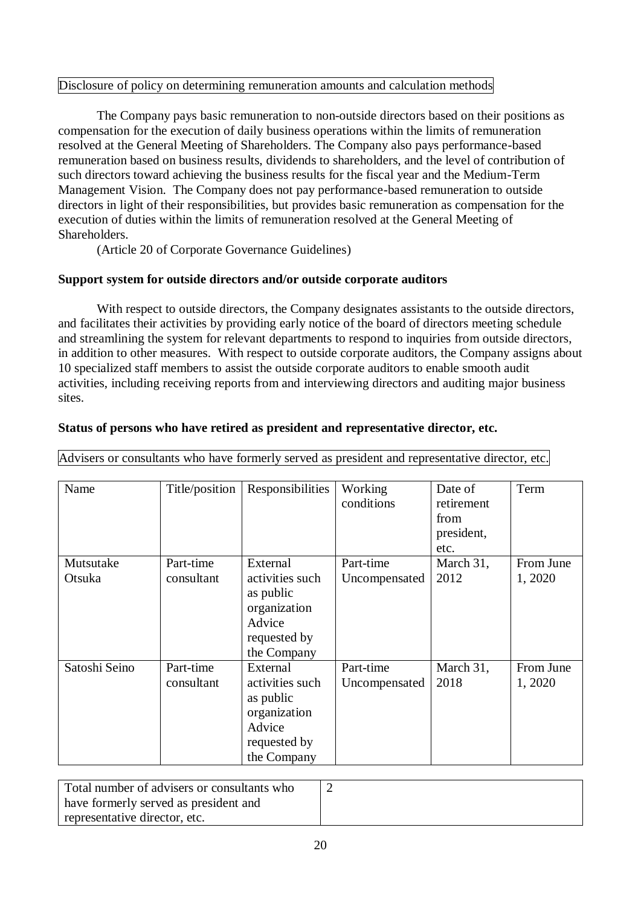#### Disclosure of policy on determining remuneration amounts and calculation methods

The Company pays basic remuneration to non-outside directors based on their positions as compensation for the execution of daily business operations within the limits of remuneration resolved at the General Meeting of Shareholders. The Company also pays performance-based remuneration based on business results, dividends to shareholders, and the level of contribution of such directors toward achieving the business results for the fiscal year and the Medium-Term Management Vision. The Company does not pay performance-based remuneration to outside directors in light of their responsibilities, but provides basic remuneration as compensation for the execution of duties within the limits of remuneration resolved at the General Meeting of Shareholders.

(Article 20 of Corporate Governance Guidelines)

# **Support system for outside directors and/or outside corporate auditors**

With respect to outside directors, the Company designates assistants to the outside directors, and facilitates their activities by providing early notice of the board of directors meeting schedule and streamlining the system for relevant departments to respond to inquiries from outside directors, in addition to other measures. With respect to outside corporate auditors, the Company assigns about 10 specialized staff members to assist the outside corporate auditors to enable smooth audit activities, including receiving reports from and interviewing directors and auditing major business sites.

| Name          | Title/position | Responsibilities | Working       | Date of    | Term      |
|---------------|----------------|------------------|---------------|------------|-----------|
|               |                |                  | conditions    | retirement |           |
|               |                |                  |               | from       |           |
|               |                |                  |               | president, |           |
|               |                |                  |               | etc.       |           |
| Mutsutake     | Part-time      | External         | Part-time     | March 31,  | From June |
| Otsuka        | consultant     | activities such  | Uncompensated | 2012       | 1,2020    |
|               |                | as public        |               |            |           |
|               |                | organization     |               |            |           |
|               |                | Advice           |               |            |           |
|               |                | requested by     |               |            |           |
|               |                | the Company      |               |            |           |
| Satoshi Seino | Part-time      | External         | Part-time     | March 31,  | From June |
|               | consultant     | activities such  | Uncompensated | 2018       | 1, 2020   |
|               |                | as public        |               |            |           |
|               |                | organization     |               |            |           |
|               |                | Advice           |               |            |           |
|               |                | requested by     |               |            |           |
|               |                | the Company      |               |            |           |

## **Status of persons who have retired as president and representative director, etc.**

Advisers or consultants who have formerly served as president and representative director, etc.

| Total number of advisers or consultants who |  |
|---------------------------------------------|--|
| have formerly served as president and       |  |
| representative director, etc.               |  |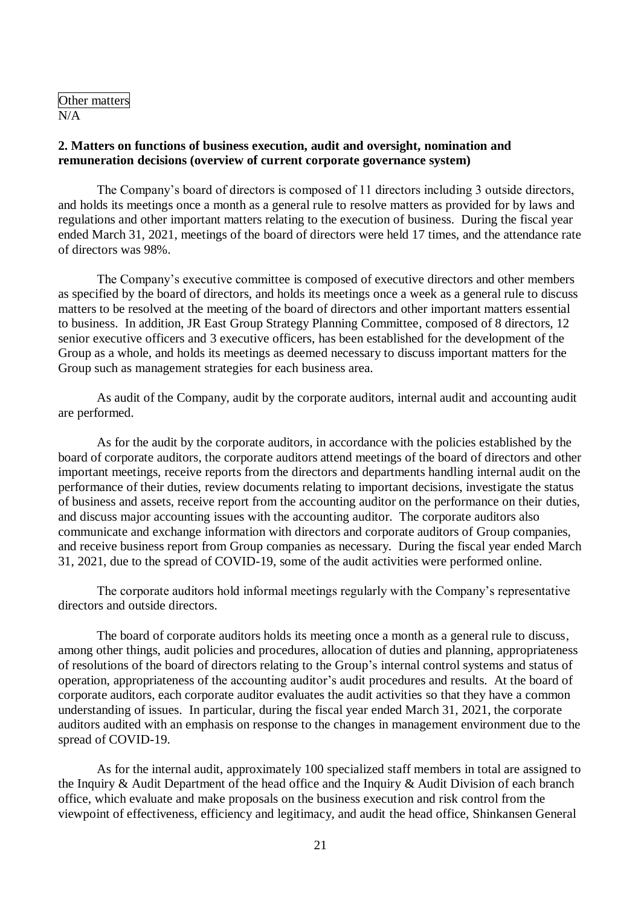Other matters N/A

#### **2. Matters on functions of business execution, audit and oversight, nomination and remuneration decisions (overview of current corporate governance system)**

The Company's board of directors is composed of 11 directors including 3 outside directors, and holds its meetings once a month as a general rule to resolve matters as provided for by laws and regulations and other important matters relating to the execution of business. During the fiscal year ended March 31, 2021, meetings of the board of directors were held 17 times, and the attendance rate of directors was 98%.

The Company's executive committee is composed of executive directors and other members as specified by the board of directors, and holds its meetings once a week as a general rule to discuss matters to be resolved at the meeting of the board of directors and other important matters essential to business. In addition, JR East Group Strategy Planning Committee, composed of 8 directors, 12 senior executive officers and 3 executive officers, has been established for the development of the Group as a whole, and holds its meetings as deemed necessary to discuss important matters for the Group such as management strategies for each business area.

As audit of the Company, audit by the corporate auditors, internal audit and accounting audit are performed.

As for the audit by the corporate auditors, in accordance with the policies established by the board of corporate auditors, the corporate auditors attend meetings of the board of directors and other important meetings, receive reports from the directors and departments handling internal audit on the performance of their duties, review documents relating to important decisions, investigate the status of business and assets, receive report from the accounting auditor on the performance on their duties, and discuss major accounting issues with the accounting auditor. The corporate auditors also communicate and exchange information with directors and corporate auditors of Group companies, and receive business report from Group companies as necessary. During the fiscal year ended March 31, 2021, due to the spread of COVID-19, some of the audit activities were performed online.

The corporate auditors hold informal meetings regularly with the Company's representative directors and outside directors.

The board of corporate auditors holds its meeting once a month as a general rule to discuss, among other things, audit policies and procedures, allocation of duties and planning, appropriateness of resolutions of the board of directors relating to the Group's internal control systems and status of operation, appropriateness of the accounting auditor's audit procedures and results. At the board of corporate auditors, each corporate auditor evaluates the audit activities so that they have a common understanding of issues. In particular, during the fiscal year ended March 31, 2021, the corporate auditors audited with an emphasis on response to the changes in management environment due to the spread of COVID-19.

As for the internal audit, approximately 100 specialized staff members in total are assigned to the Inquiry & Audit Department of the head office and the Inquiry & Audit Division of each branch office, which evaluate and make proposals on the business execution and risk control from the viewpoint of effectiveness, efficiency and legitimacy, and audit the head office, Shinkansen General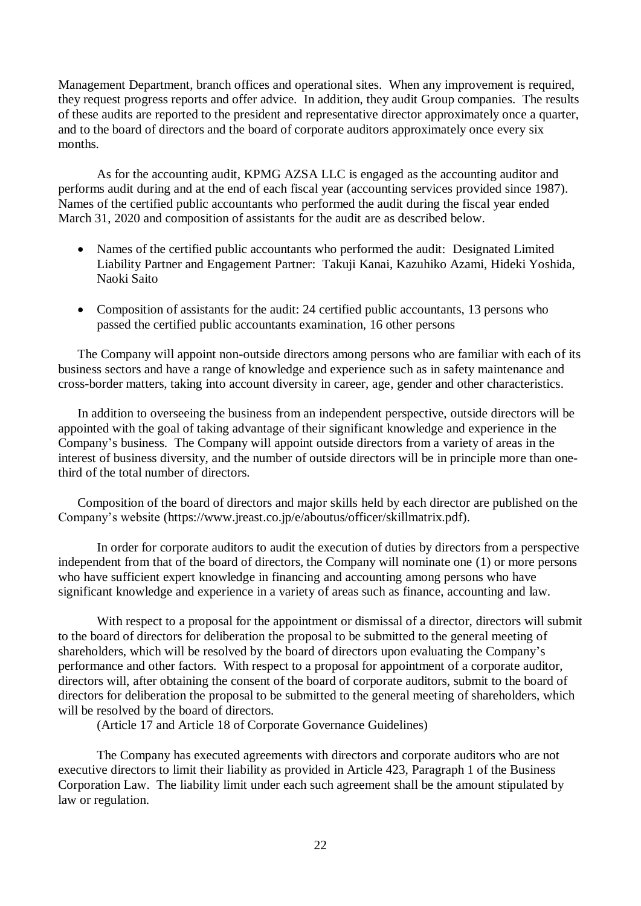Management Department, branch offices and operational sites. When any improvement is required, they request progress reports and offer advice. In addition, they audit Group companies. The results of these audits are reported to the president and representative director approximately once a quarter, and to the board of directors and the board of corporate auditors approximately once every six months.

As for the accounting audit, KPMG AZSA LLC is engaged as the accounting auditor and performs audit during and at the end of each fiscal year (accounting services provided since 1987). Names of the certified public accountants who performed the audit during the fiscal year ended March 31, 2020 and composition of assistants for the audit are as described below.

- Names of the certified public accountants who performed the audit: Designated Limited Liability Partner and Engagement Partner: Takuji Kanai, Kazuhiko Azami, Hideki Yoshida, Naoki Saito
- Composition of assistants for the audit: 24 certified public accountants, 13 persons who passed the certified public accountants examination, 16 other persons

The Company will appoint non-outside directors among persons who are familiar with each of its business sectors and have a range of knowledge and experience such as in safety maintenance and cross-border matters, taking into account diversity in career, age, gender and other characteristics.

In addition to overseeing the business from an independent perspective, outside directors will be appointed with the goal of taking advantage of their significant knowledge and experience in the Company's business. The Company will appoint outside directors from a variety of areas in the interest of business diversity, and the number of outside directors will be in principle more than onethird of the total number of directors.

Composition of the board of directors and major skills held by each director are published on the Company's website (https://www.jreast.co.jp/e/aboutus/officer/skillmatrix.pdf).

In order for corporate auditors to audit the execution of duties by directors from a perspective independent from that of the board of directors, the Company will nominate one (1) or more persons who have sufficient expert knowledge in financing and accounting among persons who have significant knowledge and experience in a variety of areas such as finance, accounting and law.

With respect to a proposal for the appointment or dismissal of a director, directors will submit to the board of directors for deliberation the proposal to be submitted to the general meeting of shareholders, which will be resolved by the board of directors upon evaluating the Company's performance and other factors. With respect to a proposal for appointment of a corporate auditor, directors will, after obtaining the consent of the board of corporate auditors, submit to the board of directors for deliberation the proposal to be submitted to the general meeting of shareholders, which will be resolved by the board of directors.

(Article 17 and Article 18 of Corporate Governance Guidelines)

The Company has executed agreements with directors and corporate auditors who are not executive directors to limit their liability as provided in Article 423, Paragraph 1 of the Business Corporation Law. The liability limit under each such agreement shall be the amount stipulated by law or regulation.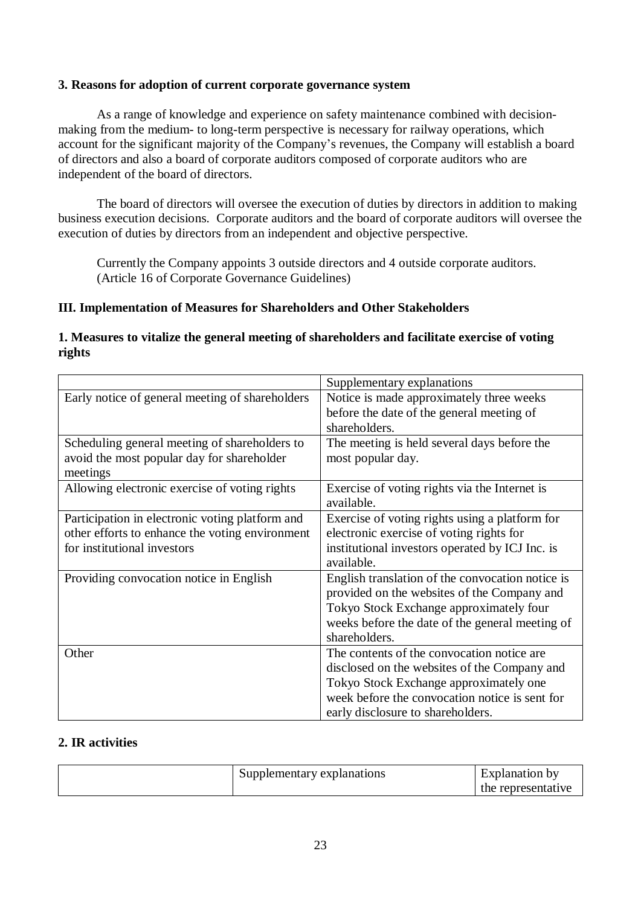#### **3. Reasons for adoption of current corporate governance system**

As a range of knowledge and experience on safety maintenance combined with decisionmaking from the medium- to long-term perspective is necessary for railway operations, which account for the significant majority of the Company's revenues, the Company will establish a board of directors and also a board of corporate auditors composed of corporate auditors who are independent of the board of directors.

The board of directors will oversee the execution of duties by directors in addition to making business execution decisions. Corporate auditors and the board of corporate auditors will oversee the execution of duties by directors from an independent and objective perspective.

Currently the Company appoints 3 outside directors and 4 outside corporate auditors. (Article 16 of Corporate Governance Guidelines)

# **III. Implementation of Measures for Shareholders and Other Stakeholders**

## **1. Measures to vitalize the general meeting of shareholders and facilitate exercise of voting rights**

|                                                 | Supplementary explanations                       |
|-------------------------------------------------|--------------------------------------------------|
| Early notice of general meeting of shareholders | Notice is made approximately three weeks         |
|                                                 | before the date of the general meeting of        |
|                                                 | shareholders.                                    |
| Scheduling general meeting of shareholders to   | The meeting is held several days before the      |
| avoid the most popular day for shareholder      | most popular day.                                |
| meetings                                        |                                                  |
| Allowing electronic exercise of voting rights   | Exercise of voting rights via the Internet is    |
|                                                 | available.                                       |
| Participation in electronic voting platform and | Exercise of voting rights using a platform for   |
| other efforts to enhance the voting environment | electronic exercise of voting rights for         |
| for institutional investors                     | institutional investors operated by ICJ Inc. is  |
|                                                 | available.                                       |
| Providing convocation notice in English         | English translation of the convocation notice is |
|                                                 | provided on the websites of the Company and      |
|                                                 | Tokyo Stock Exchange approximately four          |
|                                                 | weeks before the date of the general meeting of  |
|                                                 | shareholders.                                    |
| Other                                           | The contents of the convocation notice are       |
|                                                 | disclosed on the websites of the Company and     |
|                                                 | Tokyo Stock Exchange approximately one           |
|                                                 | week before the convocation notice is sent for   |
|                                                 | early disclosure to shareholders.                |

## **2. IR activities**

| Supplementary explanations | Explanation by<br>the representati<br>1V6 |
|----------------------------|-------------------------------------------|
|----------------------------|-------------------------------------------|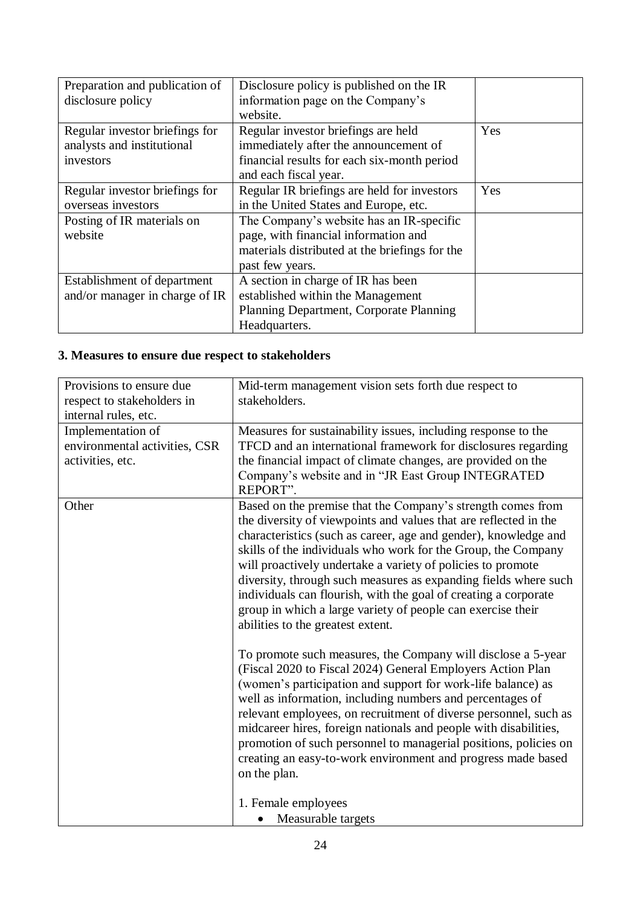| Preparation and publication of | Disclosure policy is published on the IR       |     |
|--------------------------------|------------------------------------------------|-----|
| disclosure policy              | information page on the Company's              |     |
|                                | website.                                       |     |
| Regular investor briefings for | Regular investor briefings are held            | Yes |
| analysts and institutional     | immediately after the announcement of          |     |
| investors                      | financial results for each six-month period    |     |
|                                | and each fiscal year.                          |     |
| Regular investor briefings for | Regular IR briefings are held for investors    | Yes |
| overseas investors             | in the United States and Europe, etc.          |     |
| Posting of IR materials on     | The Company's website has an IR-specific       |     |
| website                        | page, with financial information and           |     |
|                                | materials distributed at the briefings for the |     |
|                                | past few years.                                |     |
| Establishment of department    | A section in charge of IR has been             |     |
| and/or manager in charge of IR | established within the Management              |     |
|                                | Planning Department, Corporate Planning        |     |
|                                | Headquarters.                                  |     |

# **3. Measures to ensure due respect to stakeholders**

| Provisions to ensure due      | Mid-term management vision sets forth due respect to             |
|-------------------------------|------------------------------------------------------------------|
| respect to stakeholders in    | stakeholders.                                                    |
| internal rules, etc.          |                                                                  |
| Implementation of             | Measures for sustainability issues, including response to the    |
| environmental activities, CSR | TFCD and an international framework for disclosures regarding    |
| activities, etc.              | the financial impact of climate changes, are provided on the     |
|                               | Company's website and in "JR East Group INTEGRATED               |
|                               | REPORT".                                                         |
| Other                         | Based on the premise that the Company's strength comes from      |
|                               | the diversity of viewpoints and values that are reflected in the |
|                               | characteristics (such as career, age and gender), knowledge and  |
|                               | skills of the individuals who work for the Group, the Company    |
|                               | will proactively undertake a variety of policies to promote      |
|                               | diversity, through such measures as expanding fields where such  |
|                               | individuals can flourish, with the goal of creating a corporate  |
|                               | group in which a large variety of people can exercise their      |
|                               | abilities to the greatest extent.                                |
|                               |                                                                  |
|                               | To promote such measures, the Company will disclose a 5-year     |
|                               | (Fiscal 2020 to Fiscal 2024) General Employers Action Plan       |
|                               | (women's participation and support for work-life balance) as     |
|                               | well as information, including numbers and percentages of        |
|                               | relevant employees, on recruitment of diverse personnel, such as |
|                               | midcareer hires, foreign nationals and people with disabilities, |
|                               | promotion of such personnel to managerial positions, policies on |
|                               | creating an easy-to-work environment and progress made based     |
|                               | on the plan.                                                     |
|                               |                                                                  |
|                               | 1. Female employees                                              |
|                               | Measurable targets                                               |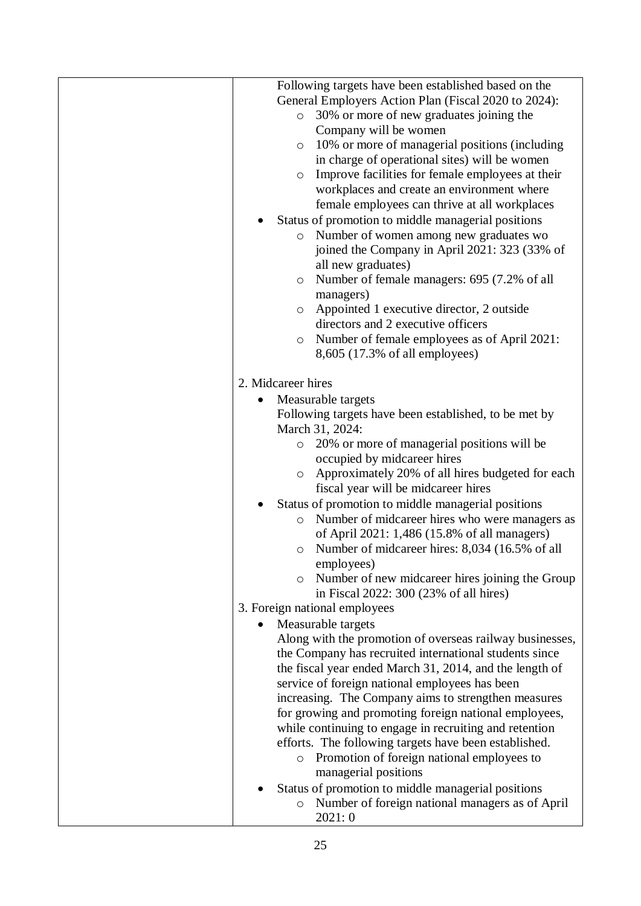| Following targets have been established based on the                                                  |
|-------------------------------------------------------------------------------------------------------|
| General Employers Action Plan (Fiscal 2020 to 2024):                                                  |
| 30% or more of new graduates joining the<br>$\circ$                                                   |
| Company will be women                                                                                 |
| 10% or more of managerial positions (including<br>$\circ$                                             |
| in charge of operational sites) will be women                                                         |
| Improve facilities for female employees at their<br>$\circ$                                           |
| workplaces and create an environment where                                                            |
| female employees can thrive at all workplaces                                                         |
| Status of promotion to middle managerial positions                                                    |
| Number of women among new graduates wo<br>$\circ$                                                     |
| joined the Company in April 2021: 323 (33% of                                                         |
| all new graduates)                                                                                    |
| Number of female managers: 695 (7.2% of all<br>$\circ$                                                |
| managers)                                                                                             |
| Appointed 1 executive director, 2 outside<br>$\circ$                                                  |
| directors and 2 executive officers                                                                    |
| Number of female employees as of April 2021:<br>$\circ$                                               |
| 8,605 (17.3% of all employees)                                                                        |
| 2. Midcareer hires                                                                                    |
|                                                                                                       |
| Measurable targets                                                                                    |
| Following targets have been established, to be met by<br>March 31, 2024:                              |
| 20% or more of managerial positions will be<br>$\circ$                                                |
| occupied by midcareer hires                                                                           |
| Approximately 20% of all hires budgeted for each<br>$\circ$                                           |
| fiscal year will be midcareer hires                                                                   |
| Status of promotion to middle managerial positions                                                    |
| Number of midcareer hires who were managers as<br>$\circ$                                             |
| of April 2021: 1,486 (15.8% of all managers)                                                          |
| Number of midcareer hires: 8,034 (16.5% of all<br>$\circ$                                             |
| employees)                                                                                            |
| Number of new midcareer hires joining the Group<br>$\circ$                                            |
| in Fiscal 2022: 300 (23% of all hires)                                                                |
| 3. Foreign national employees                                                                         |
| Measurable targets                                                                                    |
| Along with the promotion of overseas railway businesses,                                              |
| the Company has recruited international students since                                                |
| the fiscal year ended March 31, 2014, and the length of                                               |
| service of foreign national employees has been                                                        |
| increasing. The Company aims to strengthen measures                                                   |
| for growing and promoting foreign national employees,                                                 |
| while continuing to engage in recruiting and retention                                                |
| efforts. The following targets have been established.                                                 |
| Promotion of foreign national employees to<br>$\circ$                                                 |
| managerial positions                                                                                  |
| Status of promotion to middle managerial positions<br>Number of foreign national managers as of April |
| $\circ$<br>2021: 0                                                                                    |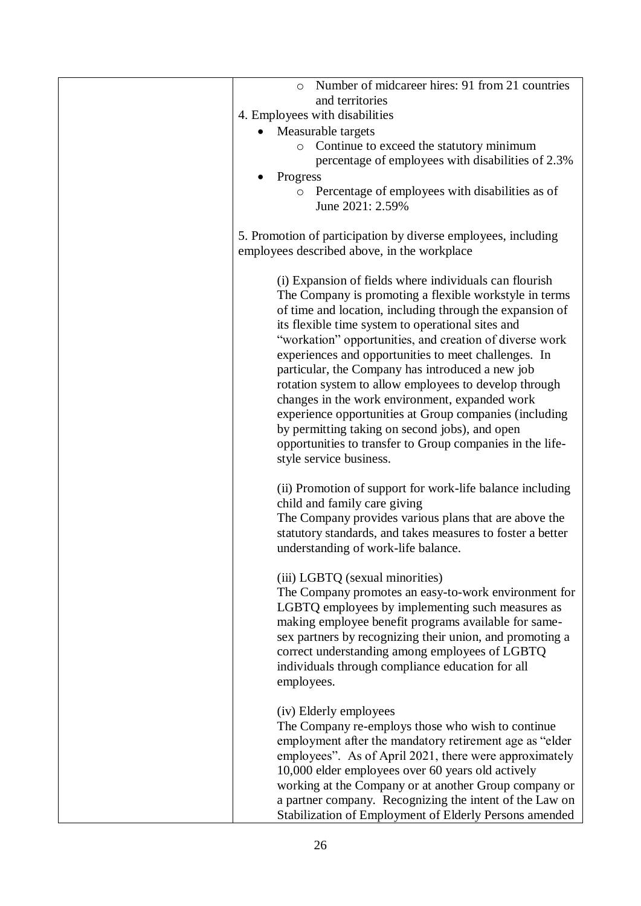| Number of midcareer hires: 91 from 21 countries<br>$\circ$                                                                                                                                                                                                                                                                                                                                                                                                                                                                                                                                                                                                                                                              |
|-------------------------------------------------------------------------------------------------------------------------------------------------------------------------------------------------------------------------------------------------------------------------------------------------------------------------------------------------------------------------------------------------------------------------------------------------------------------------------------------------------------------------------------------------------------------------------------------------------------------------------------------------------------------------------------------------------------------------|
| and territories                                                                                                                                                                                                                                                                                                                                                                                                                                                                                                                                                                                                                                                                                                         |
| 4. Employees with disabilities                                                                                                                                                                                                                                                                                                                                                                                                                                                                                                                                                                                                                                                                                          |
| Measurable targets                                                                                                                                                                                                                                                                                                                                                                                                                                                                                                                                                                                                                                                                                                      |
| Continue to exceed the statutory minimum<br>$\circ$                                                                                                                                                                                                                                                                                                                                                                                                                                                                                                                                                                                                                                                                     |
| percentage of employees with disabilities of 2.3%                                                                                                                                                                                                                                                                                                                                                                                                                                                                                                                                                                                                                                                                       |
| Progress<br>Percentage of employees with disabilities as of                                                                                                                                                                                                                                                                                                                                                                                                                                                                                                                                                                                                                                                             |
| $\circ$<br>June 2021: 2.59%                                                                                                                                                                                                                                                                                                                                                                                                                                                                                                                                                                                                                                                                                             |
| 5. Promotion of participation by diverse employees, including<br>employees described above, in the workplace                                                                                                                                                                                                                                                                                                                                                                                                                                                                                                                                                                                                            |
| (i) Expansion of fields where individuals can flourish<br>The Company is promoting a flexible workstyle in terms<br>of time and location, including through the expansion of<br>its flexible time system to operational sites and<br>"workation" opportunities, and creation of diverse work<br>experiences and opportunities to meet challenges. In<br>particular, the Company has introduced a new job<br>rotation system to allow employees to develop through<br>changes in the work environment, expanded work<br>experience opportunities at Group companies (including<br>by permitting taking on second jobs), and open<br>opportunities to transfer to Group companies in the life-<br>style service business. |
| (ii) Promotion of support for work-life balance including<br>child and family care giving<br>The Company provides various plans that are above the<br>statutory standards, and takes measures to foster a better<br>understanding of work-life balance.                                                                                                                                                                                                                                                                                                                                                                                                                                                                 |
| (iii) LGBTQ (sexual minorities)<br>The Company promotes an easy-to-work environment for<br>LGBTQ employees by implementing such measures as<br>making employee benefit programs available for same-<br>sex partners by recognizing their union, and promoting a<br>correct understanding among employees of LGBTQ<br>individuals through compliance education for all<br>employees.                                                                                                                                                                                                                                                                                                                                     |
| (iv) Elderly employees<br>The Company re-employs those who wish to continue<br>employment after the mandatory retirement age as "elder<br>employees". As of April 2021, there were approximately<br>10,000 elder employees over 60 years old actively<br>working at the Company or at another Group company or<br>a partner company. Recognizing the intent of the Law on<br>Stabilization of Employment of Elderly Persons amended                                                                                                                                                                                                                                                                                     |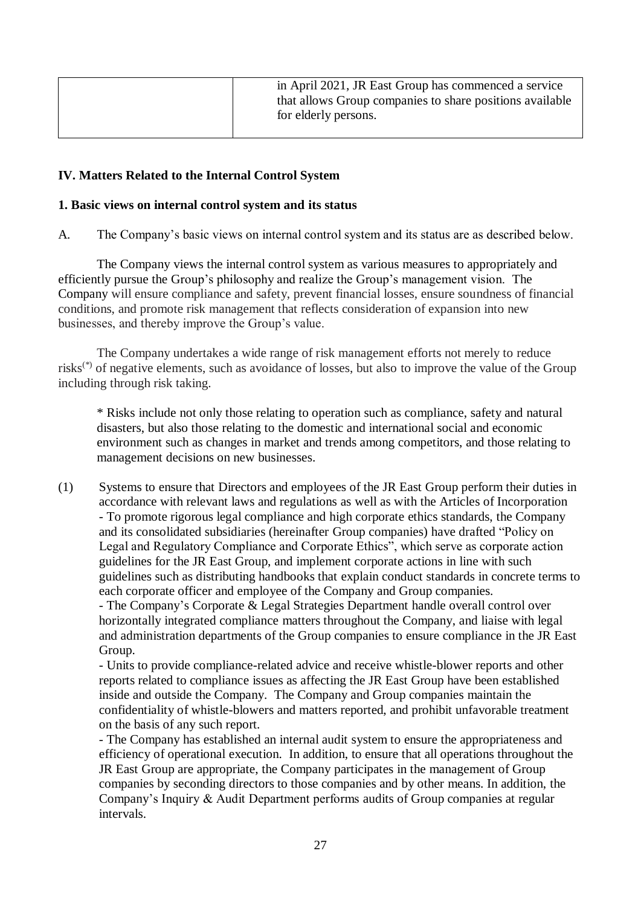| in April 2021, JR East Group has commenced a service     |
|----------------------------------------------------------|
| that allows Group companies to share positions available |
| for elderly persons.                                     |
|                                                          |

## **IV. Matters Related to the Internal Control System**

#### **1. Basic views on internal control system and its status**

A. The Company's basic views on internal control system and its status are as described below.

The Company views the internal control system as various measures to appropriately and efficiently pursue the Group's philosophy and realize the Group's management vision. The Company will ensure compliance and safety, prevent financial losses, ensure soundness of financial conditions, and promote risk management that reflects consideration of expansion into new businesses, and thereby improve the Group's value.

The Company undertakes a wide range of risk management efforts not merely to reduce risks<sup>(\*)</sup> of negative elements, such as avoidance of losses, but also to improve the value of the Group including through risk taking.

\* Risks include not only those relating to operation such as compliance, safety and natural disasters, but also those relating to the domestic and international social and economic environment such as changes in market and trends among competitors, and those relating to management decisions on new businesses.

(1) Systems to ensure that Directors and employees of the JR East Group perform their duties in accordance with relevant laws and regulations as well as with the Articles of Incorporation - To promote rigorous legal compliance and high corporate ethics standards, the Company and its consolidated subsidiaries (hereinafter Group companies) have drafted "Policy on Legal and Regulatory Compliance and Corporate Ethics", which serve as corporate action guidelines for the JR East Group, and implement corporate actions in line with such guidelines such as distributing handbooks that explain conduct standards in concrete terms to each corporate officer and employee of the Company and Group companies. - The Company's Corporate & Legal Strategies Department handle overall control over horizontally integrated compliance matters throughout the Company, and liaise with legal

and administration departments of the Group companies to ensure compliance in the JR East Group.

- Units to provide compliance-related advice and receive whistle-blower reports and other reports related to compliance issues as affecting the JR East Group have been established inside and outside the Company. The Company and Group companies maintain the confidentiality of whistle-blowers and matters reported, and prohibit unfavorable treatment on the basis of any such report.

- The Company has established an internal audit system to ensure the appropriateness and efficiency of operational execution. In addition, to ensure that all operations throughout the JR East Group are appropriate, the Company participates in the management of Group companies by seconding directors to those companies and by other means. In addition, the Company's Inquiry & Audit Department performs audits of Group companies at regular intervals.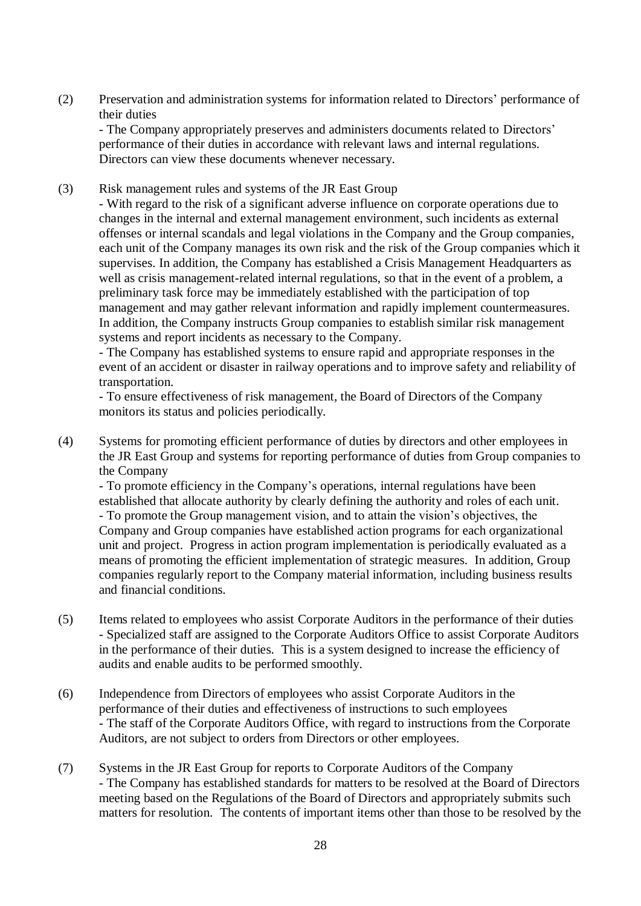(2) Preservation and administration systems for information related to Directors' performance of their duties

- The Company appropriately preserves and administers documents related to Directors' performance of their duties in accordance with relevant laws and internal regulations. Directors can view these documents whenever necessary.

(3) Risk management rules and systems of the JR East Group

- With regard to the risk of a significant adverse influence on corporate operations due to changes in the internal and external management environment, such incidents as external offenses or internal scandals and legal violations in the Company and the Group companies, each unit of the Company manages its own risk and the risk of the Group companies which it supervises. In addition, the Company has established a Crisis Management Headquarters as well as crisis management-related internal regulations, so that in the event of a problem, a preliminary task force may be immediately established with the participation of top management and may gather relevant information and rapidly implement countermeasures. In addition, the Company instructs Group companies to establish similar risk management systems and report incidents as necessary to the Company.

- The Company has established systems to ensure rapid and appropriate responses in the event of an accident or disaster in railway operations and to improve safety and reliability of transportation.

- To ensure effectiveness of risk management, the Board of Directors of the Company monitors its status and policies periodically.

(4) Systems for promoting efficient performance of duties by directors and other employees in the JR East Group and systems for reporting performance of duties from Group companies to the Company

- To promote efficiency in the Company's operations, internal regulations have been established that allocate authority by clearly defining the authority and roles of each unit. - To promote the Group management vision, and to attain the vision's objectives, the Company and Group companies have established action programs for each organizational unit and project. Progress in action program implementation is periodically evaluated as a means of promoting the efficient implementation of strategic measures. In addition, Group companies regularly report to the Company material information, including business results and financial conditions.

- (5) Items related to employees who assist Corporate Auditors in the performance of their duties - Specialized staff are assigned to the Corporate Auditors Office to assist Corporate Auditors in the performance of their duties. This is a system designed to increase the efficiency of audits and enable audits to be performed smoothly.
- (6) Independence from Directors of employees who assist Corporate Auditors in the performance of their duties and effectiveness of instructions to such employees - The staff of the Corporate Auditors Office, with regard to instructions from the Corporate Auditors, are not subject to orders from Directors or other employees.
- (7) Systems in the JR East Group for reports to Corporate Auditors of the Company - The Company has established standards for matters to be resolved at the Board of Directors meeting based on the Regulations of the Board of Directors and appropriately submits such matters for resolution. The contents of important items other than those to be resolved by the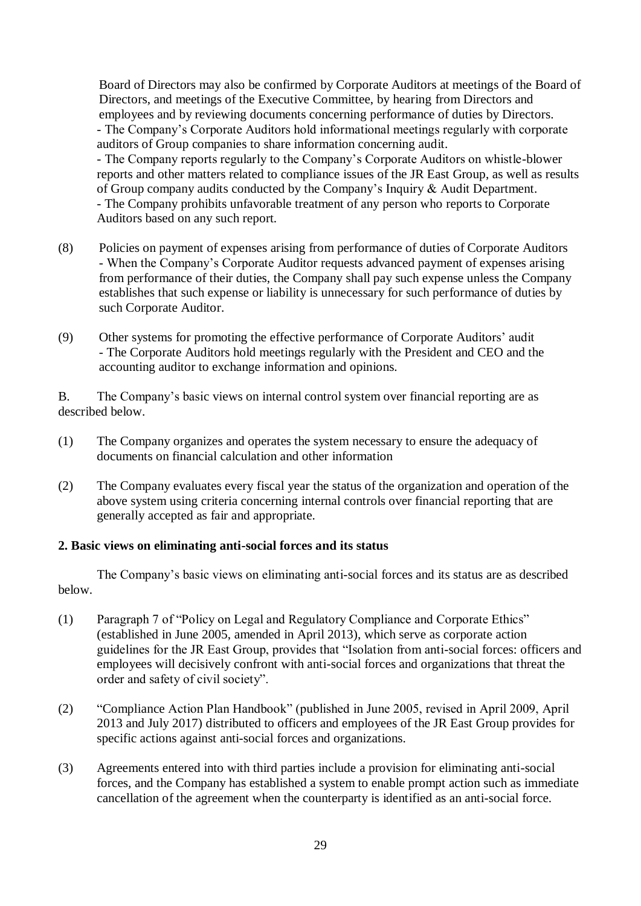Board of Directors may also be confirmed by Corporate Auditors at meetings of the Board of Directors, and meetings of the Executive Committee, by hearing from Directors and employees and by reviewing documents concerning performance of duties by Directors. - The Company's Corporate Auditors hold informational meetings regularly with corporate auditors of Group companies to share information concerning audit. - The Company reports regularly to the Company's Corporate Auditors on whistle-blower reports and other matters related to compliance issues of the JR East Group, as well as results of Group company audits conducted by the Company's Inquiry & Audit Department. - The Company prohibits unfavorable treatment of any person who reports to Corporate Auditors based on any such report.

- (8) Policies on payment of expenses arising from performance of duties of Corporate Auditors - When the Company's Corporate Auditor requests advanced payment of expenses arising from performance of their duties, the Company shall pay such expense unless the Company establishes that such expense or liability is unnecessary for such performance of duties by such Corporate Auditor.
- (9) Other systems for promoting the effective performance of Corporate Auditors' audit - The Corporate Auditors hold meetings regularly with the President and CEO and the accounting auditor to exchange information and opinions.

B. The Company's basic views on internal control system over financial reporting are as described below.

- (1) The Company organizes and operates the system necessary to ensure the adequacy of documents on financial calculation and other information
- (2) The Company evaluates every fiscal year the status of the organization and operation of the above system using criteria concerning internal controls over financial reporting that are generally accepted as fair and appropriate.

#### **2. Basic views on eliminating anti-social forces and its status**

The Company's basic views on eliminating anti-social forces and its status are as described below.

- (1) Paragraph 7 of "Policy on Legal and Regulatory Compliance and Corporate Ethics" (established in June 2005, amended in April 2013), which serve as corporate action guidelines for the JR East Group, provides that "Isolation from anti-social forces: officers and employees will decisively confront with anti-social forces and organizations that threat the order and safety of civil society".
- (2) "Compliance Action Plan Handbook" (published in June 2005, revised in April 2009, April 2013 and July 2017) distributed to officers and employees of the JR East Group provides for specific actions against anti-social forces and organizations.
- (3) Agreements entered into with third parties include a provision for eliminating anti-social forces, and the Company has established a system to enable prompt action such as immediate cancellation of the agreement when the counterparty is identified as an anti-social force.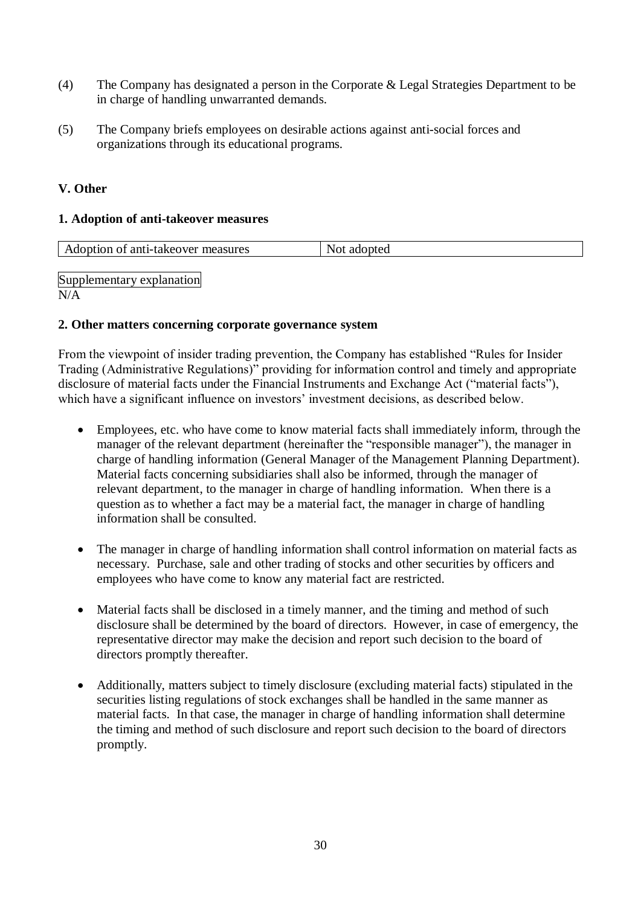- (4) The Company has designated a person in the Corporate & Legal Strategies Department to be in charge of handling unwarranted demands.
- (5) The Company briefs employees on desirable actions against anti-social forces and organizations through its educational programs.

## **V. Other**

## **1. Adoption of anti-takeover measures**

| Adoption of anti-take over measures<br>Not.<br>adopted |
|--------------------------------------------------------|
|--------------------------------------------------------|

Supplementary explanation N/A

## **2. Other matters concerning corporate governance system**

From the viewpoint of insider trading prevention, the Company has established "Rules for Insider Trading (Administrative Regulations)" providing for information control and timely and appropriate disclosure of material facts under the Financial Instruments and Exchange Act ("material facts"), which have a significant influence on investors' investment decisions, as described below.

- Employees, etc. who have come to know material facts shall immediately inform, through the manager of the relevant department (hereinafter the "responsible manager"), the manager in charge of handling information (General Manager of the Management Planning Department). Material facts concerning subsidiaries shall also be informed, through the manager of relevant department, to the manager in charge of handling information. When there is a question as to whether a fact may be a material fact, the manager in charge of handling information shall be consulted.
- The manager in charge of handling information shall control information on material facts as necessary. Purchase, sale and other trading of stocks and other securities by officers and employees who have come to know any material fact are restricted.
- Material facts shall be disclosed in a timely manner, and the timing and method of such disclosure shall be determined by the board of directors. However, in case of emergency, the representative director may make the decision and report such decision to the board of directors promptly thereafter.
- Additionally, matters subject to timely disclosure (excluding material facts) stipulated in the securities listing regulations of stock exchanges shall be handled in the same manner as material facts. In that case, the manager in charge of handling information shall determine the timing and method of such disclosure and report such decision to the board of directors promptly.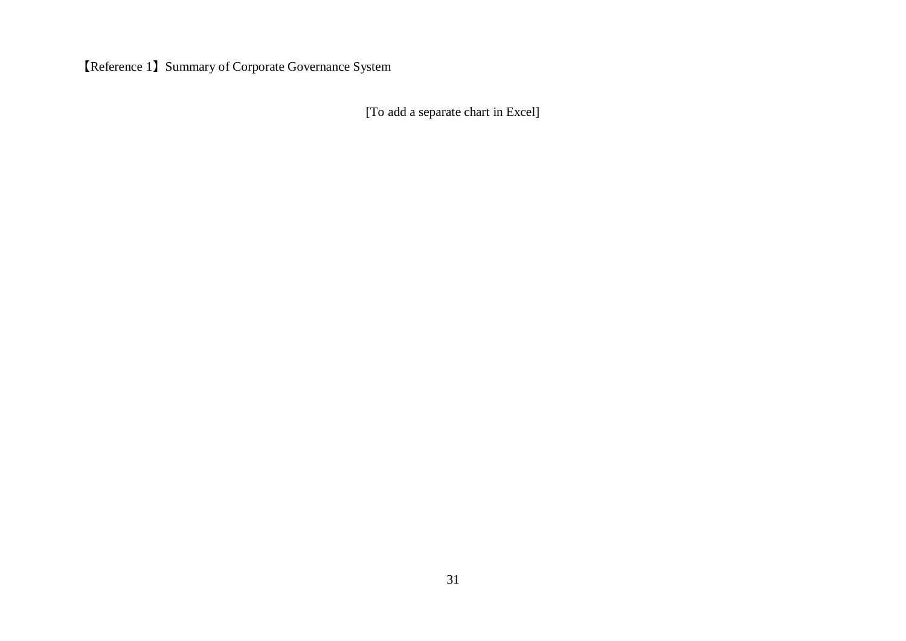【Reference 1】Summary of Corporate Governance System

[To add a separate chart in Excel]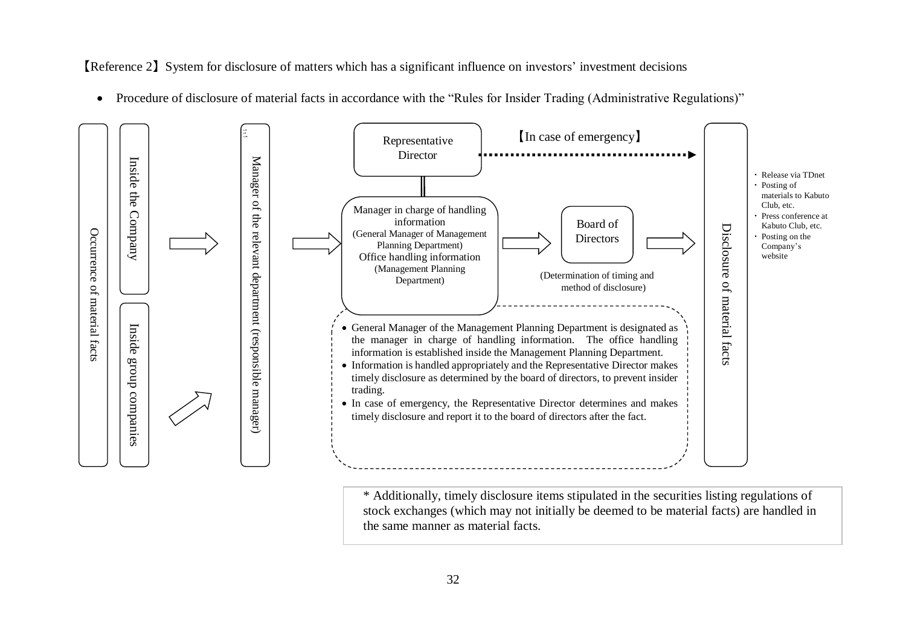【Reference 2】System for disclosure of matters which has a significant influence on investors' investment decisions

• Procedure of disclosure of material facts in accordance with the "Rules for Insider Trading (Administrative Regulations)"



\* Additionally, timely disclosure items stipulated in the securities listing regulations of stock exchanges (which may not initially be deemed to be material facts) are handled in the same manner as material facts.